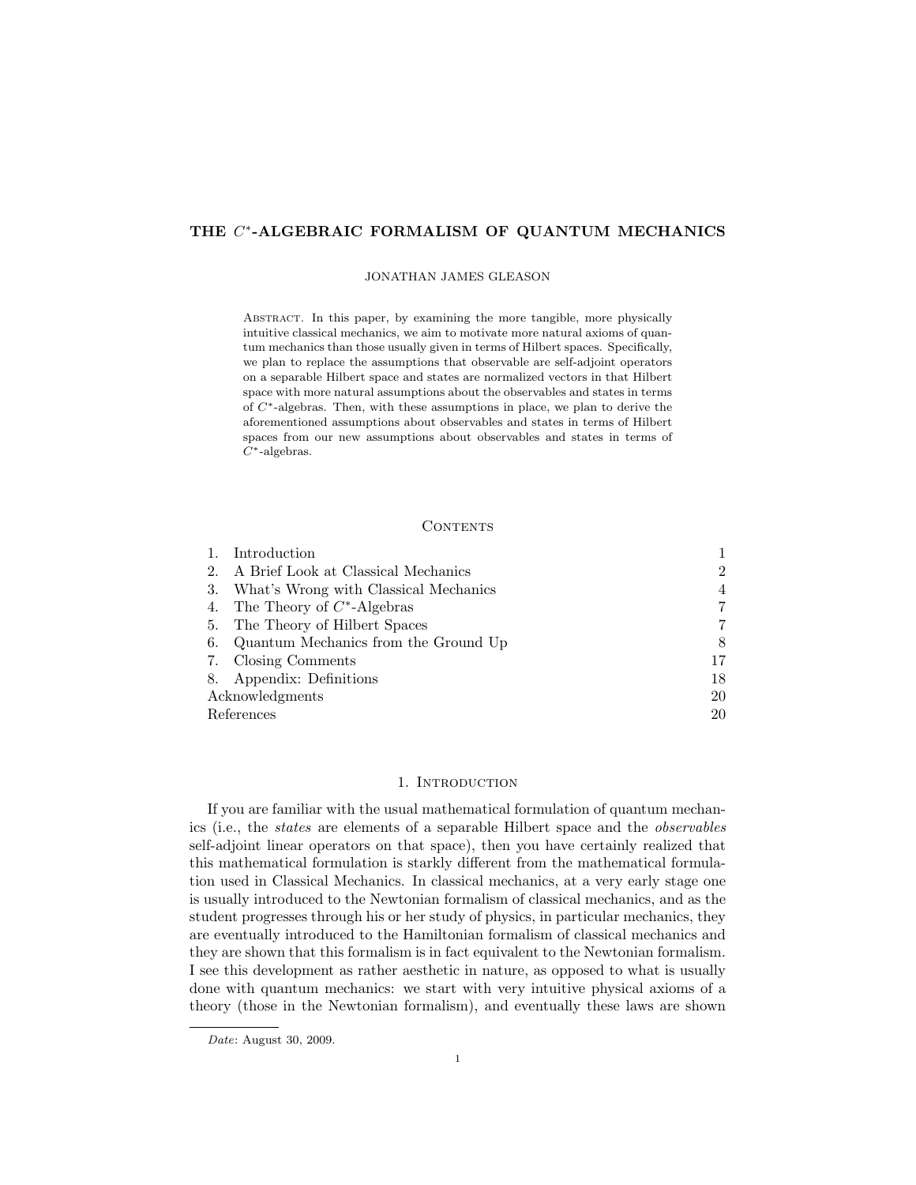# THE C\*-ALGEBRAIC FORMALISM OF QUANTUM MECHANICS

### JONATHAN JAMES GLEASON

Abstract. In this paper, by examining the more tangible, more physically intuitive classical mechanics, we aim to motivate more natural axioms of quantum mechanics than those usually given in terms of Hilbert spaces. Specifically, we plan to replace the assumptions that observable are self-adjoint operators on a separable Hilbert space and states are normalized vectors in that Hilbert space with more natural assumptions about the observables and states in terms of C∗-algebras. Then, with these assumptions in place, we plan to derive the aforementioned assumptions about observables and states in terms of Hilbert spaces from our new assumptions about observables and states in terms of  $C^*$ -algebras.

### CONTENTS

|                 | Introduction                          |                |
|-----------------|---------------------------------------|----------------|
| 2.              | A Brief Look at Classical Mechanics   | $\overline{2}$ |
| 3.              | What's Wrong with Classical Mechanics | $\overline{4}$ |
| 4.              | The Theory of $C^*$ -Algebras         | 7              |
| 5.              | The Theory of Hilbert Spaces          | 7              |
| 6.              | Quantum Mechanics from the Ground Up  | 8              |
| 7.              | Closing Comments                      | 17             |
|                 | 8. Appendix: Definitions              | 18             |
| Acknowledgments |                                       | 20             |
| References      |                                       | 20             |

# 1. INTRODUCTION

If you are familiar with the usual mathematical formulation of quantum mechanics (i.e., the states are elements of a separable Hilbert space and the observables self-adjoint linear operators on that space), then you have certainly realized that this mathematical formulation is starkly different from the mathematical formulation used in Classical Mechanics. In classical mechanics, at a very early stage one is usually introduced to the Newtonian formalism of classical mechanics, and as the student progresses through his or her study of physics, in particular mechanics, they are eventually introduced to the Hamiltonian formalism of classical mechanics and they are shown that this formalism is in fact equivalent to the Newtonian formalism. I see this development as rather aesthetic in nature, as opposed to what is usually done with quantum mechanics: we start with very intuitive physical axioms of a theory (those in the Newtonian formalism), and eventually these laws are shown

Date: August 30, 2009.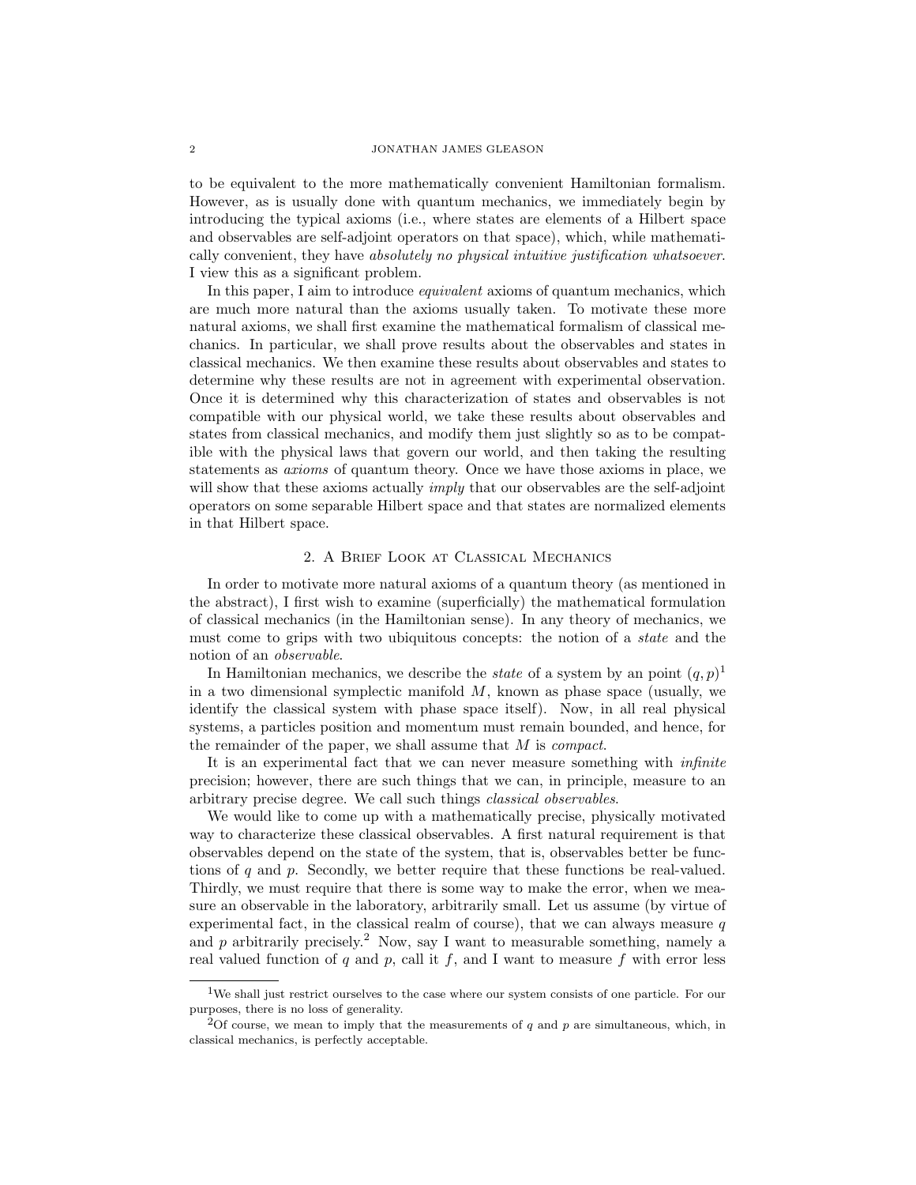#### 2 JONATHAN JAMES GLEASON

to be equivalent to the more mathematically convenient Hamiltonian formalism. However, as is usually done with quantum mechanics, we immediately begin by introducing the typical axioms (i.e., where states are elements of a Hilbert space and observables are self-adjoint operators on that space), which, while mathematically convenient, they have absolutely no physical intuitive justification whatsoever. I view this as a significant problem.

In this paper, I aim to introduce *equivalent* axioms of quantum mechanics, which are much more natural than the axioms usually taken. To motivate these more natural axioms, we shall first examine the mathematical formalism of classical mechanics. In particular, we shall prove results about the observables and states in classical mechanics. We then examine these results about observables and states to determine why these results are not in agreement with experimental observation. Once it is determined why this characterization of states and observables is not compatible with our physical world, we take these results about observables and states from classical mechanics, and modify them just slightly so as to be compatible with the physical laws that govern our world, and then taking the resulting statements as axioms of quantum theory. Once we have those axioms in place, we will show that these axioms actually *imply* that our observables are the self-adjoint operators on some separable Hilbert space and that states are normalized elements in that Hilbert space.

# 2. A Brief Look at Classical Mechanics

In order to motivate more natural axioms of a quantum theory (as mentioned in the abstract), I first wish to examine (superficially) the mathematical formulation of classical mechanics (in the Hamiltonian sense). In any theory of mechanics, we must come to grips with two ubiquitous concepts: the notion of a *state* and the notion of an observable.

In Hamiltonian mechanics, we describe the *state* of a system by an point  $(q, p)^1$ in a two dimensional symplectic manifold  $M$ , known as phase space (usually, we identify the classical system with phase space itself). Now, in all real physical systems, a particles position and momentum must remain bounded, and hence, for the remainder of the paper, we shall assume that M is compact.

It is an experimental fact that we can never measure something with *infinite* precision; however, there are such things that we can, in principle, measure to an arbitrary precise degree. We call such things classical observables.

We would like to come up with a mathematically precise, physically motivated way to characterize these classical observables. A first natural requirement is that observables depend on the state of the system, that is, observables better be functions of  $q$  and  $p$ . Secondly, we better require that these functions be real-valued. Thirdly, we must require that there is some way to make the error, when we measure an observable in the laboratory, arbitrarily small. Let us assume (by virtue of experimental fact, in the classical realm of course), that we can always measure  $q$ and  $p$  arbitrarily precisely.<sup>2</sup> Now, say I want to measurable something, namely a real valued function of q and p, call it f, and I want to measure f with error less

<sup>&</sup>lt;sup>1</sup>We shall just restrict ourselves to the case where our system consists of one particle. For our purposes, there is no loss of generality.

 $2$ Of course, we mean to imply that the measurements of q and p are simultaneous, which, in classical mechanics, is perfectly acceptable.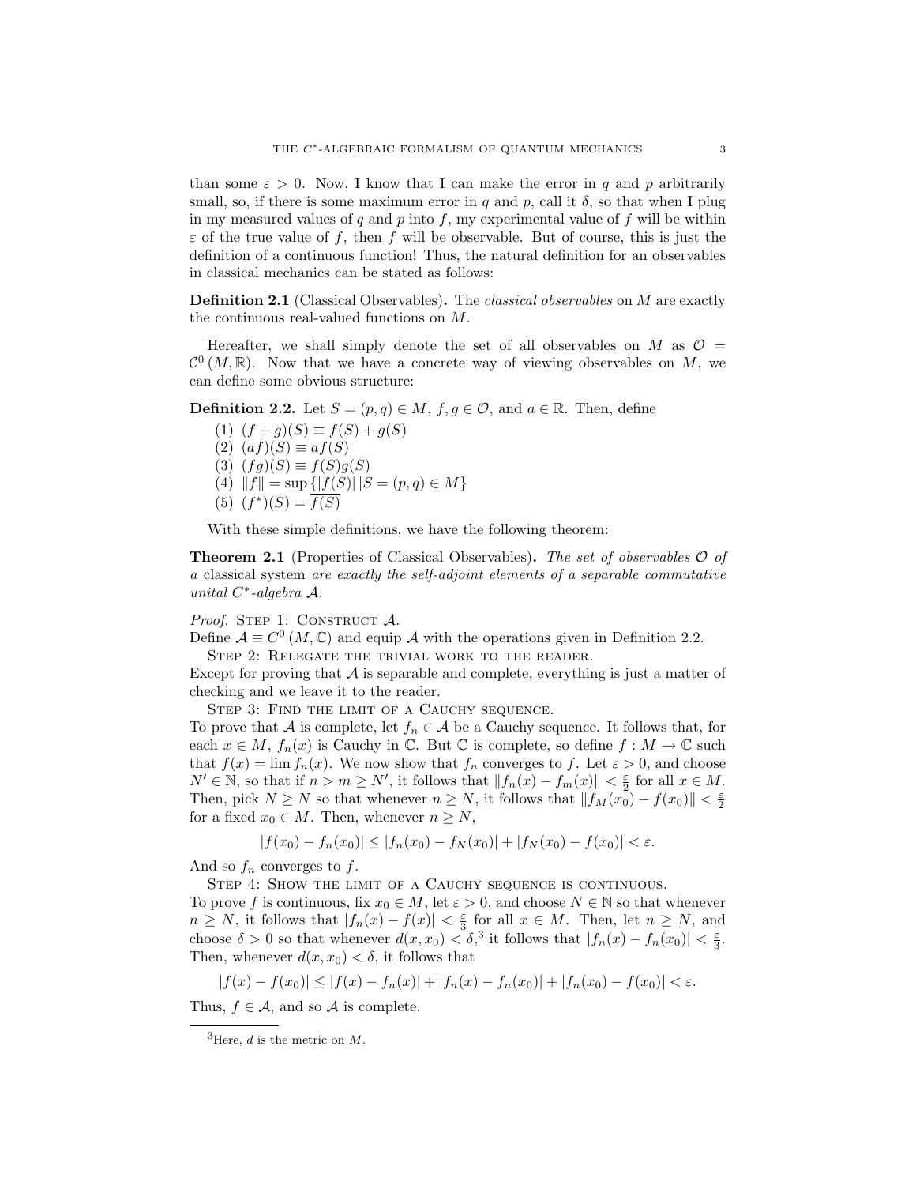than some  $\varepsilon > 0$ . Now, I know that I can make the error in q and p arbitrarily small, so, if there is some maximum error in q and p, call it  $\delta$ , so that when I plug in my measured values of q and p into f, my experimental value of f will be within  $\varepsilon$  of the true value of f, then f will be observable. But of course, this is just the definition of a continuous function! Thus, the natural definition for an observables in classical mechanics can be stated as follows:

Definition 2.1 (Classical Observables). The classical observables on M are exactly the continuous real-valued functions on M.

Hereafter, we shall simply denote the set of all observables on M as  $\mathcal{O} =$  $\mathcal{C}^0(M,\mathbb{R})$ . Now that we have a concrete way of viewing observables on M, we can define some obvious structure:

**Definition 2.2.** Let  $S = (p, q) \in M$ ,  $f, g \in \mathcal{O}$ , and  $a \in \mathbb{R}$ . Then, define

(1)  $(f+q)(S) \equiv f(S) + q(S)$  $(2)$   $(af)(S) \equiv af(S)$ (3)  $(fg)(S) \equiv f(S)g(S)$ (4)  $||f|| = \sup { |f(S)| |S = (p, q) \in M }$  $(5)$   $(f^*)(S) = \overline{f(S)}$ 

With these simple definitions, we have the following theorem:

**Theorem 2.1** (Properties of Classical Observables). The set of observables  $\mathcal O$  of a classical system are exactly the self-adjoint elements of a separable commutative unital C ∗ -algebra A.

# Proof. STEP 1: CONSTRUCT  $A$ .

Define  $\mathcal{A} \equiv C^0(M, \mathbb{C})$  and equip A with the operations given in Definition 2.2.

STEP 2: RELEGATE THE TRIVIAL WORK TO THE READER.

Except for proving that  $A$  is separable and complete, everything is just a matter of checking and we leave it to the reader.

STEP 3: FIND THE LIMIT OF A CAUCHY SEQUENCE.

To prove that A is complete, let  $f_n \in A$  be a Cauchy sequence. It follows that, for each  $x \in M$ ,  $f_n(x)$  is Cauchy in  $\mathbb C$ . But  $\mathbb C$  is complete, so define  $f : M \to \mathbb C$  such that  $f(x) = \lim f_n(x)$ . We now show that  $f_n$  converges to f. Let  $\varepsilon > 0$ , and choose  $N' \in \mathbb{N}$ , so that if  $n > m \ge N'$ , it follows that  $||f_n(x) - f_m(x)|| < \frac{\varepsilon}{2}$  for all  $x \in M$ . Then, pick  $N \geq N$  so that whenever  $n \geq N$ , it follows that  $||f_M(x_0) - f(x_0)|| < \frac{\varepsilon}{2}$ for a fixed  $x_0 \in M$ . Then, whenever  $n \geq N$ ,

$$
|f(x_0) - f_n(x_0)| \le |f_n(x_0) - f_N(x_0)| + |f_N(x_0) - f(x_0)| < \varepsilon.
$$

And so  $f_n$  converges to f.

STEP 4: SHOW THE LIMIT OF A CAUCHY SEQUENCE IS CONTINUOUS.

To prove f is continuous, fix  $x_0 \in M$ , let  $\varepsilon > 0$ , and choose  $N \in \mathbb{N}$  so that whenever  $n \geq N$ , it follows that  $|f_n(x) - f(x)| < \frac{\varepsilon}{3}$  for all  $x \in M$ . Then, let  $n \geq N$ , and choose  $\delta > 0$  so that whenever  $d(x, x_0) < \delta$ ,<sup>3</sup> it follows that  $|f_n(x) - f_n(x_0)| < \frac{\varepsilon}{3}$ . Then, whenever  $d(x, x_0) < \delta$ , it follows that

$$
|f(x) - f(x_0)| \le |f(x) - f_n(x)| + |f_n(x) - f_n(x_0)| + |f_n(x_0) - f(x_0)| < \varepsilon.
$$

Thus,  $f \in \mathcal{A}$ , and so  $\mathcal{A}$  is complete.

<sup>&</sup>lt;sup>3</sup>Here, *d* is the metric on  $M$ .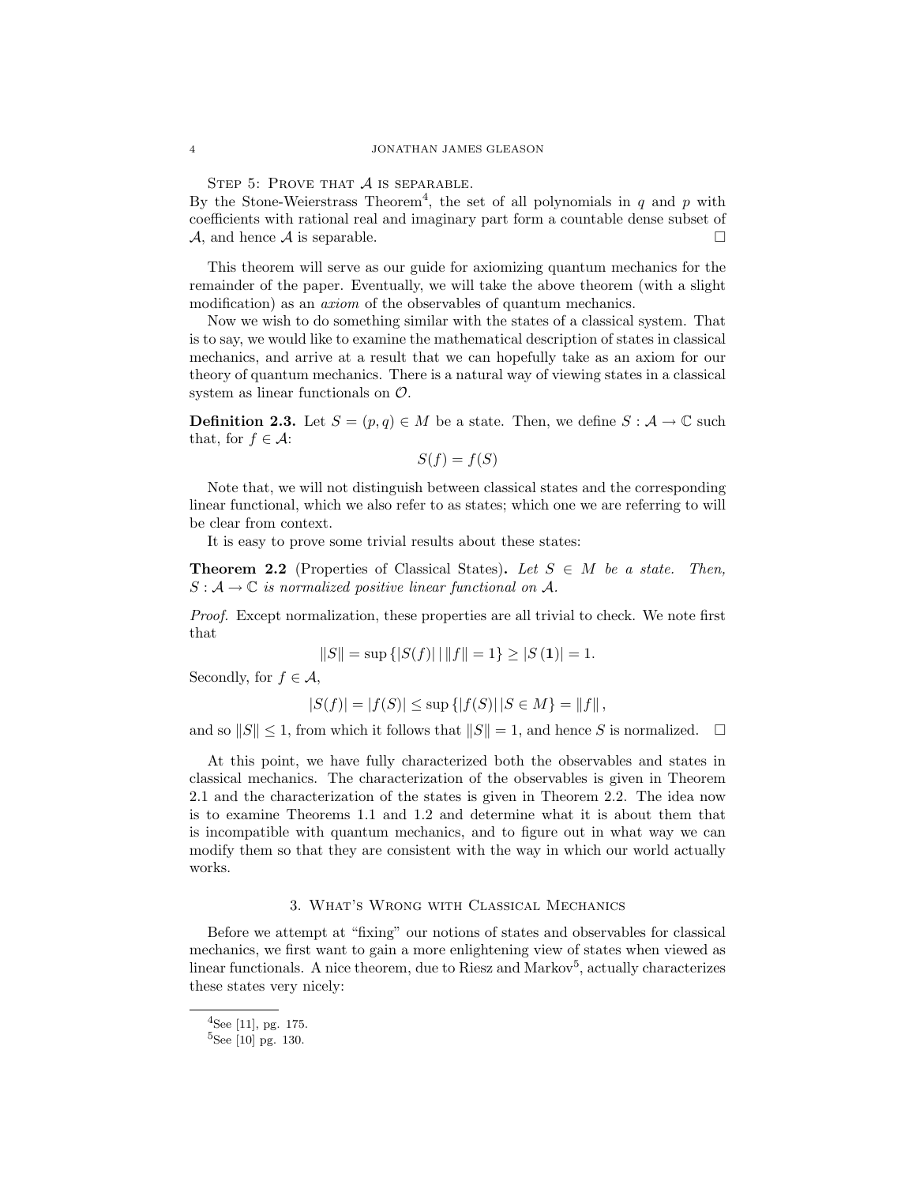STEP 5: PROVE THAT  $A$  is separable.

By the Stone-Weierstrass Theorem<sup>4</sup>, the set of all polynomials in  $q$  and  $p$  with coefficients with rational real and imaginary part form a countable dense subset of  $\mathcal{A}$ , and hence  $\mathcal A$  is separable.

This theorem will serve as our guide for axiomizing quantum mechanics for the remainder of the paper. Eventually, we will take the above theorem (with a slight modification) as an *axiom* of the observables of quantum mechanics.

Now we wish to do something similar with the states of a classical system. That is to say, we would like to examine the mathematical description of states in classical mechanics, and arrive at a result that we can hopefully take as an axiom for our theory of quantum mechanics. There is a natural way of viewing states in a classical system as linear functionals on O.

**Definition 2.3.** Let  $S = (p, q) \in M$  be a state. Then, we define  $S : A \to \mathbb{C}$  such that, for  $f \in \mathcal{A}$ :

$$
S(f) = f(S)
$$

Note that, we will not distinguish between classical states and the corresponding linear functional, which we also refer to as states; which one we are referring to will be clear from context.

It is easy to prove some trivial results about these states:

**Theorem 2.2** (Properties of Classical States). Let  $S \in M$  be a state. Then,  $S: \mathcal{A} \to \mathbb{C}$  is normalized positive linear functional on A.

Proof. Except normalization, these properties are all trivial to check. We note first that

$$
||S|| = \sup\{|S(f)| \mid ||f|| = 1\} \ge |S(1)| = 1.
$$

Secondly, for  $f \in \mathcal{A}$ ,

$$
|S(f)| = |f(S)| \le \sup\{|f(S)| | S \in M\} = ||f||,
$$

and so  $||S|| \leq 1$ , from which it follows that  $||S|| = 1$ , and hence S is normalized.

At this point, we have fully characterized both the observables and states in classical mechanics. The characterization of the observables is given in Theorem 2.1 and the characterization of the states is given in Theorem 2.2. The idea now is to examine Theorems 1.1 and 1.2 and determine what it is about them that is incompatible with quantum mechanics, and to figure out in what way we can modify them so that they are consistent with the way in which our world actually works.

# 3. What's Wrong with Classical Mechanics

Before we attempt at "fixing" our notions of states and observables for classical mechanics, we first want to gain a more enlightening view of states when viewed as linear functionals. A nice theorem, due to Riesz and Markov<sup>5</sup>, actually characterizes these states very nicely:

<sup>4</sup>See [11], pg. 175.

 $5$ See [10] pg. 130.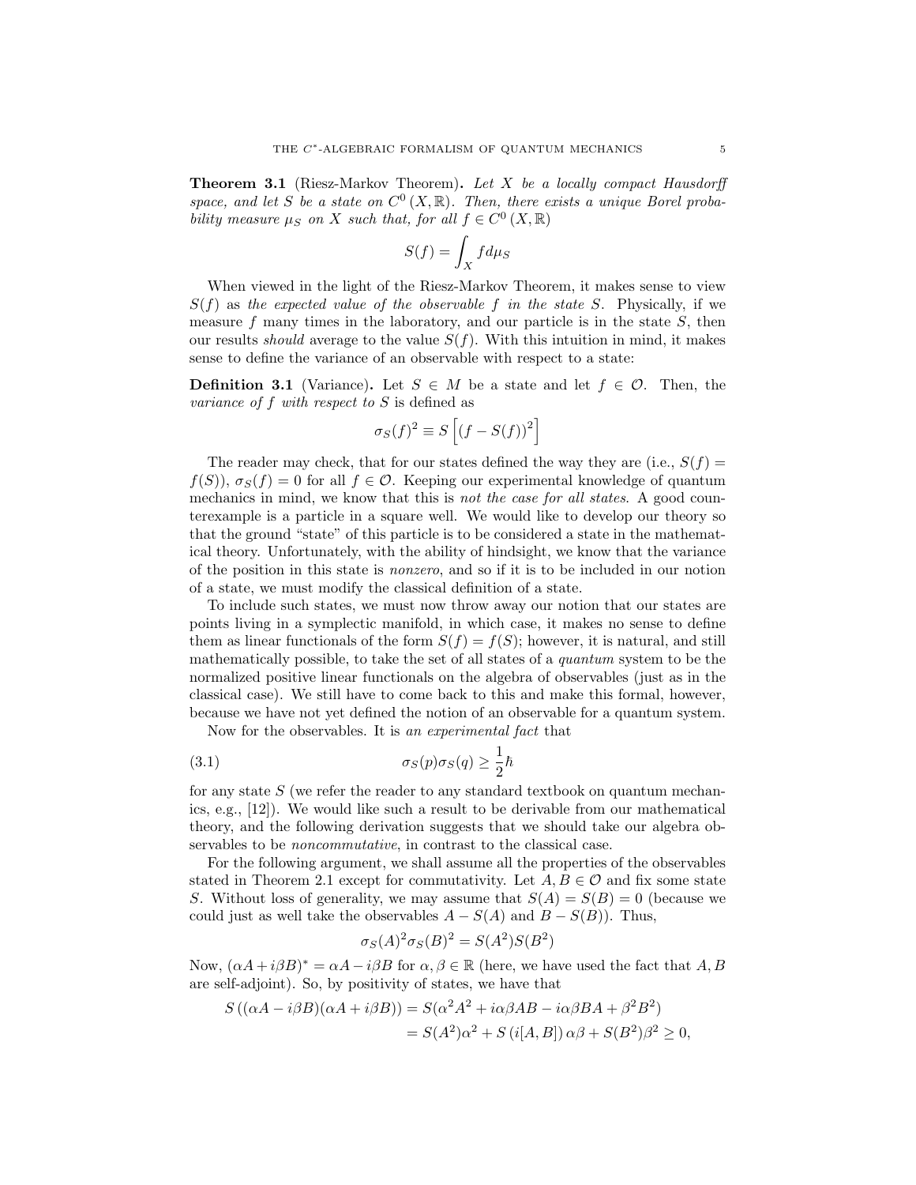**Theorem 3.1** (Riesz-Markov Theorem). Let X be a locally compact Hausdorff space, and let S be a state on  $C^0(X,\mathbb{R})$ . Then, there exists a unique Borel probability measure  $\mu_S$  on X such that, for all  $f \in C^0(X, \mathbb{R})$ 

$$
S(f) = \int_X f d\mu_S
$$

When viewed in the light of the Riesz-Markov Theorem, it makes sense to view  $S(f)$  as the expected value of the observable f in the state S. Physically, if we measure  $f$  many times in the laboratory, and our particle is in the state  $S$ , then our results *should* average to the value  $S(f)$ . With this intuition in mind, it makes sense to define the variance of an observable with respect to a state:

**Definition 3.1** (Variance). Let  $S \in M$  be a state and let  $f \in \mathcal{O}$ . Then, the variance of f with respect to  $S$  is defined as

$$
\sigma_S(f)^2 \equiv S\left[ \left( f - S(f) \right)^2 \right]
$$

The reader may check, that for our states defined the way they are (i.e.,  $S(f)$ )  $f(S)$ ),  $\sigma_S(f) = 0$  for all  $f \in \mathcal{O}$ . Keeping our experimental knowledge of quantum mechanics in mind, we know that this is not the case for all states. A good counterexample is a particle in a square well. We would like to develop our theory so that the ground "state" of this particle is to be considered a state in the mathematical theory. Unfortunately, with the ability of hindsight, we know that the variance of the position in this state is nonzero, and so if it is to be included in our notion of a state, we must modify the classical definition of a state.

To include such states, we must now throw away our notion that our states are points living in a symplectic manifold, in which case, it makes no sense to define them as linear functionals of the form  $S(f) = f(S)$ ; however, it is natural, and still mathematically possible, to take the set of all states of a quantum system to be the normalized positive linear functionals on the algebra of observables (just as in the classical case). We still have to come back to this and make this formal, however, because we have not yet defined the notion of an observable for a quantum system.

Now for the observables. It is an experimental fact that

(3.1) 
$$
\sigma_S(p)\sigma_S(q) \geq \frac{1}{2}\hbar
$$

for any state  $S$  (we refer the reader to any standard textbook on quantum mechanics, e.g., [12]). We would like such a result to be derivable from our mathematical theory, and the following derivation suggests that we should take our algebra observables to be noncommutative, in contrast to the classical case.

For the following argument, we shall assume all the properties of the observables stated in Theorem 2.1 except for commutativity. Let  $A, B \in \mathcal{O}$  and fix some state S. Without loss of generality, we may assume that  $S(A) = S(B) = 0$  (because we could just as well take the observables  $A - S(A)$  and  $B - S(B)$ . Thus,

$$
\sigma_S(A)^2 \sigma_S(B)^2 = S(A^2)S(B^2)
$$

Now,  $(\alpha A + i\beta B)^* = \alpha A - i\beta B$  for  $\alpha, \beta \in \mathbb{R}$  (here, we have used the fact that A, B are self-adjoint). So, by positivity of states, we have that

$$
S((\alpha A - i\beta B)(\alpha A + i\beta B)) = S(\alpha^2 A^2 + i\alpha \beta AB - i\alpha \beta BA + \beta^2 B^2)
$$
  
=  $S(A^2)\alpha^2 + S(i[A, B]) \alpha \beta + S(B^2)\beta^2 \ge 0$ ,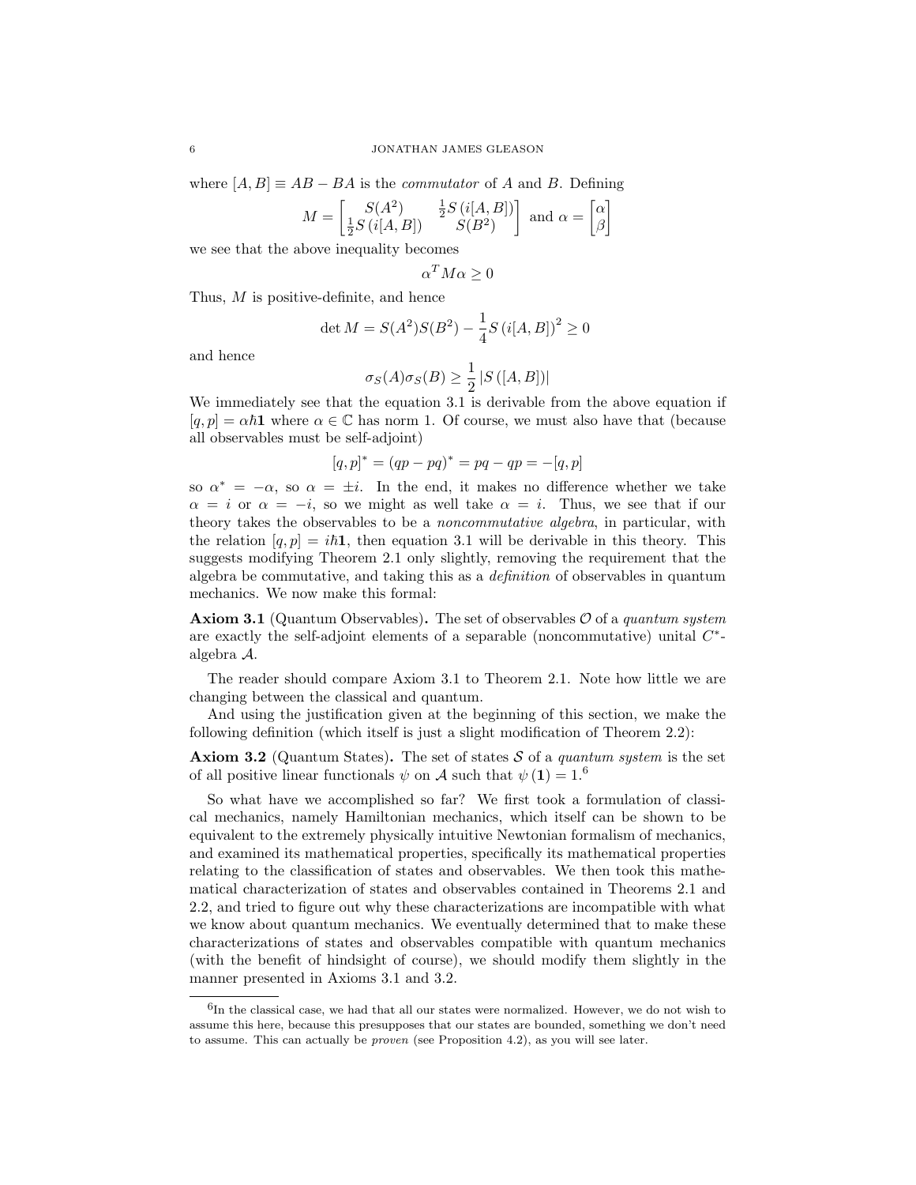where  $[A, B] \equiv AB - BA$  is the *commutator* of A and B. Defining

$$
M = \begin{bmatrix} S(A^2) & \frac{1}{2}S(i[A,B]) \\ \frac{1}{2}S(i[A,B]) & S(B^2) \end{bmatrix}
$$
 and  $\alpha = \begin{bmatrix} \alpha \\ \beta \end{bmatrix}$ 

we see that the above inequality becomes

 $\alpha^T M \alpha \geq 0$ 

Thus, M is positive-definite, and hence

$$
\det M = S(A^2)S(B^2) - \frac{1}{4}S(i[A, B])^2 \ge 0
$$

and hence

$$
\sigma_S(A)\sigma_S(B) \ge \frac{1}{2} |S([A, B])|
$$

We immediately see that the equation 3.1 is derivable from the above equation if  $[q, p] = \alpha \hbar \mathbf{1}$  where  $\alpha \in \mathbb{C}$  has norm 1. Of course, we must also have that (because all observables must be self-adjoint)

$$
[q, p]^* = (qp - pq)^* = pq - qp = -[q, p]
$$

so  $\alpha^* = -\alpha$ , so  $\alpha = \pm i$ . In the end, it makes no difference whether we take  $\alpha = i$  or  $\alpha = -i$ , so we might as well take  $\alpha = i$ . Thus, we see that if our theory takes the observables to be a *noncommutative algebra*, in particular, with the relation  $[q, p] = i\hbar \mathbf{1}$ , then equation 3.1 will be derivable in this theory. This suggests modifying Theorem 2.1 only slightly, removing the requirement that the algebra be commutative, and taking this as a definition of observables in quantum mechanics. We now make this formal:

**Axiom 3.1** (Quantum Observables). The set of observables  $\mathcal{O}$  of a quantum system are exactly the self-adjoint elements of a separable (noncommutative) unital  $C^*$ algebra A.

The reader should compare Axiom 3.1 to Theorem 2.1. Note how little we are changing between the classical and quantum.

And using the justification given at the beginning of this section, we make the following definition (which itself is just a slight modification of Theorem 2.2):

**Axiom 3.2** (Quantum States). The set of states  $S$  of a quantum system is the set of all positive linear functionals  $\psi$  on A such that  $\psi(1) = 1.6$ 

So what have we accomplished so far? We first took a formulation of classical mechanics, namely Hamiltonian mechanics, which itself can be shown to be equivalent to the extremely physically intuitive Newtonian formalism of mechanics, and examined its mathematical properties, specifically its mathematical properties relating to the classification of states and observables. We then took this mathematical characterization of states and observables contained in Theorems 2.1 and 2.2, and tried to figure out why these characterizations are incompatible with what we know about quantum mechanics. We eventually determined that to make these characterizations of states and observables compatible with quantum mechanics (with the benefit of hindsight of course), we should modify them slightly in the manner presented in Axioms 3.1 and 3.2.

 ${}^{6}$ In the classical case, we had that all our states were normalized. However, we do not wish to assume this here, because this presupposes that our states are bounded, something we don't need to assume. This can actually be proven (see Proposition 4.2), as you will see later.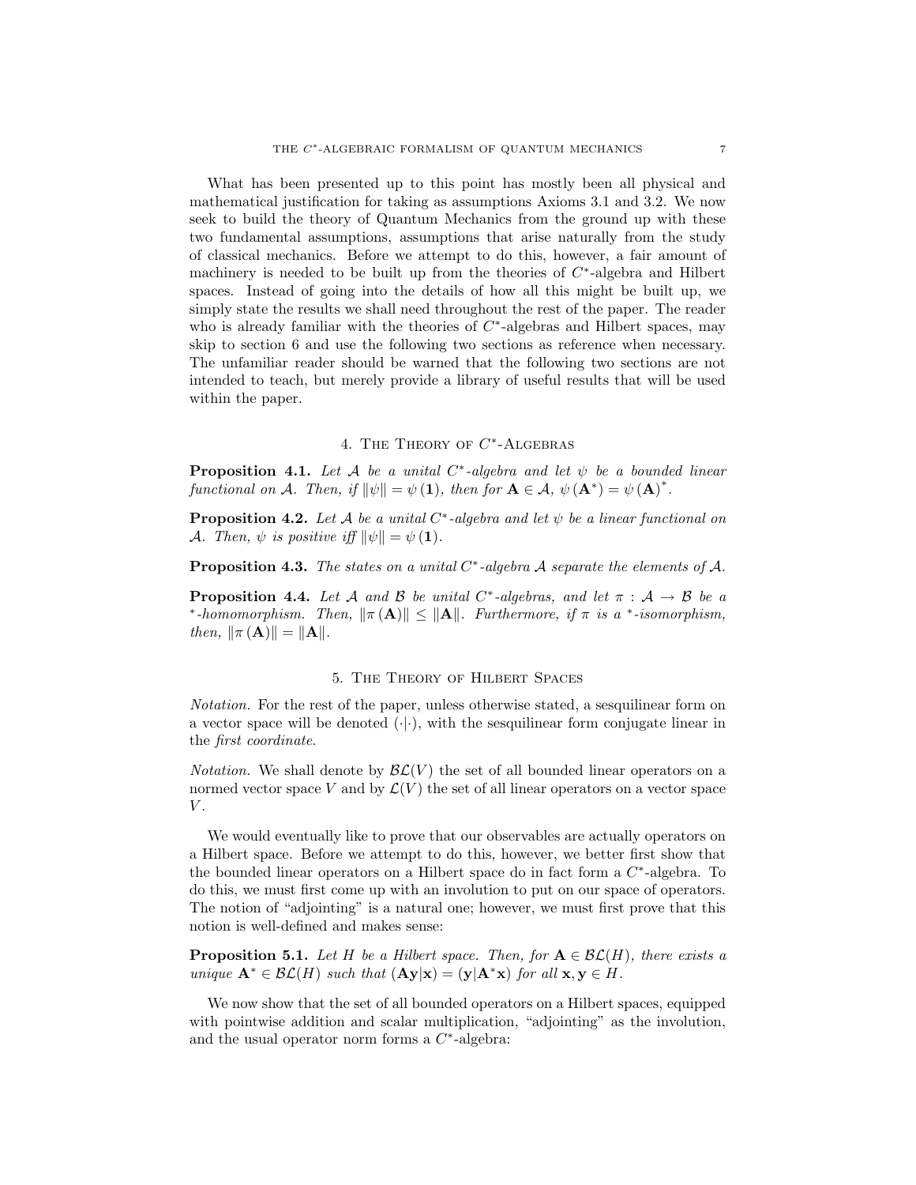What has been presented up to this point has mostly been all physical and mathematical justification for taking as assumptions Axioms 3.1 and 3.2. We now seek to build the theory of Quantum Mechanics from the ground up with these two fundamental assumptions, assumptions that arise naturally from the study of classical mechanics. Before we attempt to do this, however, a fair amount of machinery is needed to be built up from the theories of  $C^*$ -algebra and Hilbert spaces. Instead of going into the details of how all this might be built up, we simply state the results we shall need throughout the rest of the paper. The reader who is already familiar with the theories of  $C^*$ -algebras and Hilbert spaces, may skip to section 6 and use the following two sections as reference when necessary. The unfamiliar reader should be warned that the following two sections are not intended to teach, but merely provide a library of useful results that will be used within the paper.

# 4. THE THEORY OF  $C^*$ -ALGEBRAS

**Proposition 4.1.** Let A be a unital  $C^*$ -algebra and let  $\psi$  be a bounded linear functional on A. Then, if  $\|\psi\| = \psi(\mathbf{1})$ , then for  $\mathbf{A} \in \mathcal{A}, \ \psi(\mathbf{A}^*) = \psi(\mathbf{A})^*$ .

**Proposition 4.2.** Let A be a unital  $C^*$ -algebra and let  $\psi$  be a linear functional on A. Then,  $\psi$  is positive iff  $\|\psi\| = \psi(\mathbf{1}).$ 

**Proposition 4.3.** The states on a unital  $C^*$ -algebra A separate the elements of A.

**Proposition 4.4.** Let A and B be unital C<sup>\*</sup>-algebras, and let  $\pi : A \rightarrow B$  be a \*-homomorphism. Then,  $\|\pi(A)\| \leq \|A\|$ . Furthermore, if  $\pi$  is a \*-isomorphism, then,  $\|\pi(A)\| = \|A\|.$ 

### 5. The Theory of Hilbert Spaces

Notation. For the rest of the paper, unless otherwise stated, a sesquilinear form on a vector space will be denoted  $(\cdot|\cdot)$ , with the sesquilinear form conjugate linear in the first coordinate.

*Notation.* We shall denote by  $\mathcal{BL}(V)$  the set of all bounded linear operators on a normed vector space V and by  $\mathcal{L}(V)$  the set of all linear operators on a vector space  $V$ .

We would eventually like to prove that our observables are actually operators on a Hilbert space. Before we attempt to do this, however, we better first show that the bounded linear operators on a Hilbert space do in fact form a  $C^*$ -algebra. To do this, we must first come up with an involution to put on our space of operators. The notion of "adjointing" is a natural one; however, we must first prove that this notion is well-defined and makes sense:

**Proposition 5.1.** Let H be a Hilbert space. Then, for  $A \in \mathcal{BL}(H)$ , there exists a unique  $\mathbf{A}^* \in \mathcal{BL}(H)$  such that  $(\mathbf{A}\mathbf{y}|\mathbf{x}) = (\mathbf{y}|\mathbf{A}^*\mathbf{x})$  for all  $\mathbf{x}, \mathbf{y} \in H$ .

We now show that the set of all bounded operators on a Hilbert spaces, equipped with pointwise addition and scalar multiplication, "adjointing" as the involution, and the usual operator norm forms a  $C^*$ -algebra: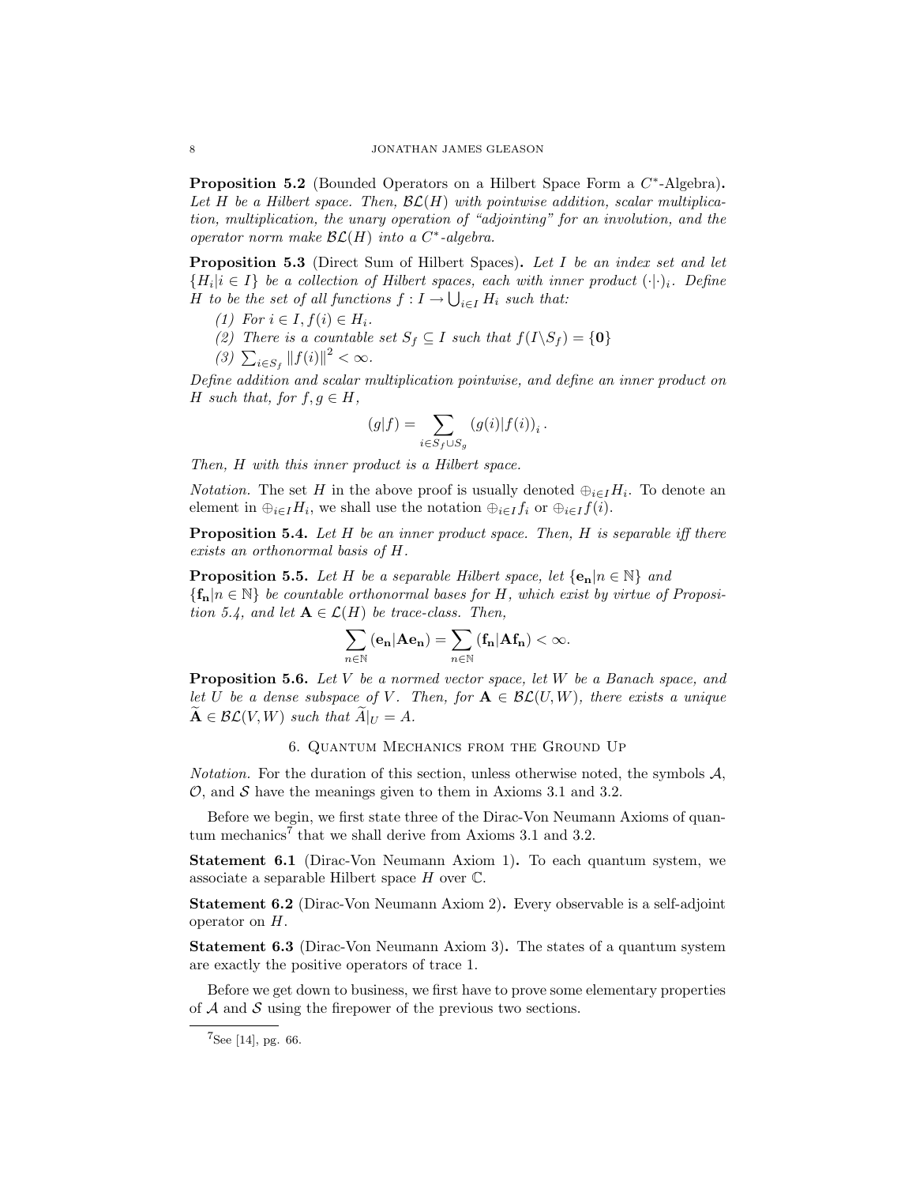**Proposition 5.2** (Bounded Operators on a Hilbert Space Form a  $C^*$ -Algebra). Let H be a Hilbert space. Then,  $\mathcal{BL}(H)$  with pointwise addition, scalar multiplication, multiplication, the unary operation of "adjointing" for an involution, and the operator norm make  $\mathcal{BL}(H)$  into a C<sup>\*</sup>-algebra.

Proposition 5.3 (Direct Sum of Hilbert Spaces). Let I be an index set and let  ${H_i | i \in I}$  be a collection of Hilbert spaces, each with inner product  $(\cdot | \cdot)_i$ . Define H to be the set of all functions  $f: I \to \bigcup_{i \in I} H_i$  such that:

- (1) For  $i \in I, f(i) \in H_i$ .
- (2) There is a countable set  $S_f \subseteq I$  such that  $f(I \backslash S_f) = \{0\}$
- (3)  $\sum_{i \in S_f} ||f(i)||^2 < \infty$ .

Define addition and scalar multiplication pointwise, and define an inner product on H such that, for  $f, g \in H$ ,

$$
(g|f)=\sum_{i\in S_f\cup S_g}\left(g(i)|f(i)\right)_i.
$$

Then, H with this inner product is a Hilbert space.

*Notation*. The set H in the above proof is usually denoted  $\bigoplus_{i\in I} H_i$ . To denote an element in  $\bigoplus_{i\in I}H_i$ , we shall use the notation  $\bigoplus_{i\in I}f_i$  or  $\bigoplus_{i\in I}f(i)$ .

**Proposition 5.4.** Let  $H$  be an inner product space. Then,  $H$  is separable iff there exists an orthonormal basis of H.

**Proposition 5.5.** Let H be a separable Hilbert space, let  $\{e_n | n \in \mathbb{N}\}\$ and  ${f_n | n \in \mathbb{N}}$  be countable orthonormal bases for H, which exist by virtue of Proposition 5.4, and let  $\mathbf{A} \in \mathcal{L}(H)$  be trace-class. Then,

$$
\sum_{n\in\mathbb{N}}\left(\mathbf{e_{n}}|\mathbf{A}\mathbf{e_{n}}\right)=\sum_{n\in\mathbb{N}}\left(\mathbf{f_{n}}|\mathbf{A}\mathbf{f_{n}}\right)<\infty.
$$

**Proposition 5.6.** Let V be a normed vector space, let W be a Banach space, and let U be a dense subspace of V. Then, for  $A \in \mathcal{BL}(U, W)$ , there exists a unique  $\widetilde{\mathbf{A}} \in \mathcal{BL}(V, W)$  such that  $\widetilde{A}|_U = A$ .

## 6. Quantum Mechanics from the Ground Up

Notation. For the duration of this section, unless otherwise noted, the symbols  $A$ ,  $\mathcal{O}$ , and  $\mathcal{S}$  have the meanings given to them in Axioms 3.1 and 3.2.

Before we begin, we first state three of the Dirac-Von Neumann Axioms of quantum mechanics<sup>7</sup> that we shall derive from Axioms 3.1 and 3.2.

Statement 6.1 (Dirac-Von Neumann Axiom 1). To each quantum system, we associate a separable Hilbert space  $H$  over  $\mathbb{C}$ .

Statement 6.2 (Dirac-Von Neumann Axiom 2). Every observable is a self-adjoint operator on H.

Statement 6.3 (Dirac-Von Neumann Axiom 3). The states of a quantum system are exactly the positive operators of trace 1.

Before we get down to business, we first have to prove some elementary properties of  $A$  and  $S$  using the firepower of the previous two sections.

 $7$ See [14], pg. 66.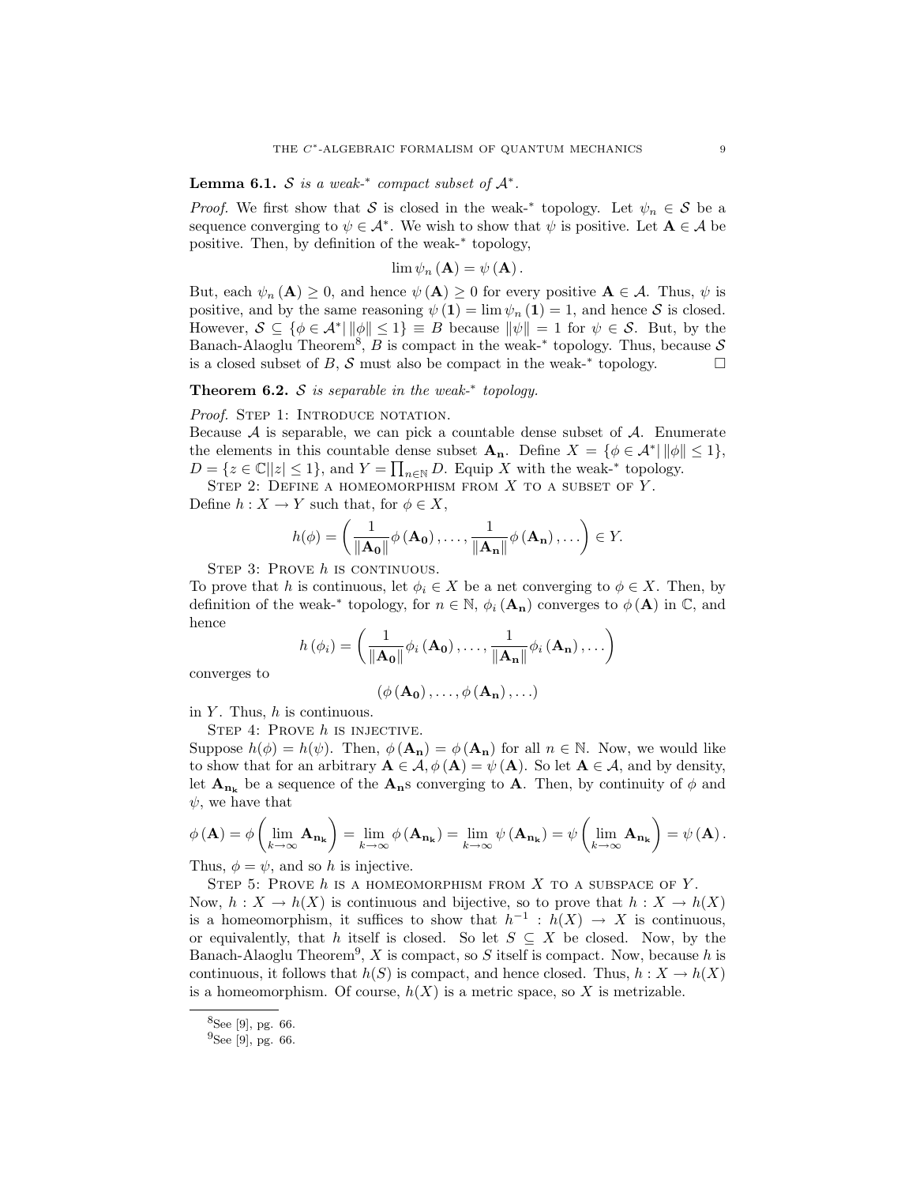**Lemma 6.1.** S is a weak-\* compact subset of  $A^*$ .

*Proof.* We first show that S is closed in the weak-<sup>\*</sup> topology. Let  $\psi_n \in S$  be a sequence converging to  $\psi \in \mathcal{A}^*$ . We wish to show that  $\psi$  is positive. Let  $\mathbf{A} \in \mathcal{A}$  be positive. Then, by definition of the weak-<sup>∗</sup> topology,

$$
\lim\psi_{n}\left(\mathbf{A}\right)=\psi\left(\mathbf{A}\right).
$$

But, each  $\psi_n(\mathbf{A}) \geq 0$ , and hence  $\psi(\mathbf{A}) \geq 0$  for every positive  $\mathbf{A} \in \mathcal{A}$ . Thus,  $\psi$  is positive, and by the same reasoning  $\psi(\mathbf{1}) = \lim \psi_n(\mathbf{1}) = 1$ , and hence S is closed. However,  $S \subseteq {\emptyset \in \mathcal{A}^* \mid ||\phi|| \leq 1} \equiv B$  because  $||\psi|| = 1$  for  $\psi \in S$ . But, by the Banach-Alaoglu Theorem<sup>8</sup>, B is compact in the weak-<sup>\*</sup> topology. Thus, because S is a closed subset of B, S must also be compact in the weak- $*$  topology.

# Theorem 6.2. S is separable in the weak- $*$  topology.

### Proof. STEP 1: INTRODUCE NOTATION.

Because  $A$  is separable, we can pick a countable dense subset of  $A$ . Enumerate the elements in this countable dense subset  $\mathbf{A}_n$ . Define  $X = \{ \phi \in \mathcal{A}^* | ||\phi|| \leq 1 \},\$  $D = \{z \in \mathbb{C} \mid |z| \leq 1\}$ , and  $Y = \prod_{n \in \mathbb{N}} D$ . Equip X with the weak-\* topology.

STEP 2: DEFINE A HOMEOMORPHISM FROM  $X$  to a subset of  $Y$ .

Define  $h: X \to Y$  such that, for  $\phi \in X$ ,

$$
h(\phi) = \left(\frac{1}{\|\mathbf{A_0}\|}\phi\left(\mathbf{A_0}\right),\ldots,\frac{1}{\|\mathbf{A_n}\|}\phi\left(\mathbf{A_n}\right),\ldots\right) \in Y.
$$

STEP 3: PROVE  $h$  is continuous.

To prove that h is continuous, let  $\phi_i \in X$  be a net converging to  $\phi \in X$ . Then, by definition of the weak-<sup>∗</sup> topology, for  $n \in \mathbb{N}$ ,  $\phi_i(\mathbf{A}_n)$  converges to  $\phi(\mathbf{A})$  in  $\mathbb{C}$ , and hence

$$
h(\phi_i) = \left(\frac{1}{\|\mathbf{A_0}\|}\phi_i\left(\mathbf{A_0}\right),\ldots,\frac{1}{\|\mathbf{A_n}\|}\phi_i\left(\mathbf{A_n}\right),\ldots\right)
$$

converges to

 $(\phi(\mathbf{A_0}), \ldots, \phi(\mathbf{A_n}), \ldots)$ 

in  $Y$ . Thus,  $h$  is continuous.

STEP 4: PROVE  $h$  is injective.

Suppose  $h(\phi) = h(\psi)$ . Then,  $\phi(\mathbf{A}_n) = \phi(\mathbf{A}_n)$  for all  $n \in \mathbb{N}$ . Now, we would like to show that for an arbitrary  $\mathbf{A} \in \mathcal{A}, \phi(\mathbf{A}) = \psi(\mathbf{A})$ . So let  $\mathbf{A} \in \mathcal{A}$ , and by density, let  $\mathbf{A}_{n_k}$  be a sequence of the  $\mathbf{A}_n$ s converging to  $\mathbf{A}$ . Then, by continuity of  $\phi$  and  $\psi$ , we have that

$$
\phi(\mathbf{A}) = \phi\left(\lim_{k \to \infty} \mathbf{A}_{\mathbf{n}_{k}}\right) = \lim_{k \to \infty} \phi(\mathbf{A}_{\mathbf{n}_{k}}) = \lim_{k \to \infty} \psi(\mathbf{A}_{\mathbf{n}_{k}}) = \psi\left(\lim_{k \to \infty} \mathbf{A}_{\mathbf{n}_{k}}\right) = \psi(\mathbf{A}).
$$

Thus,  $\phi = \psi$ , and so h is injective.

STEP 5: PROVE  $h$  is a homeomorphism from  $X$  to a subspace of  $Y$ .

Now,  $h: X \to h(X)$  is continuous and bijective, so to prove that  $h: X \to h(X)$ is a homeomorphism, it suffices to show that  $h^{-1}: h(X) \to X$  is continuous, or equivalently, that h itself is closed. So let  $S \subseteq X$  be closed. Now, by the Banach-Alaoglu Theorem<sup>9</sup>, X is compact, so S itself is compact. Now, because h is continuous, it follows that  $h(S)$  is compact, and hence closed. Thus,  $h: X \to h(X)$ is a homeomorphism. Of course,  $h(X)$  is a metric space, so X is metrizable.

 $8$ See [9], pg. 66.

 $^{9}$ See [9], pg. 66.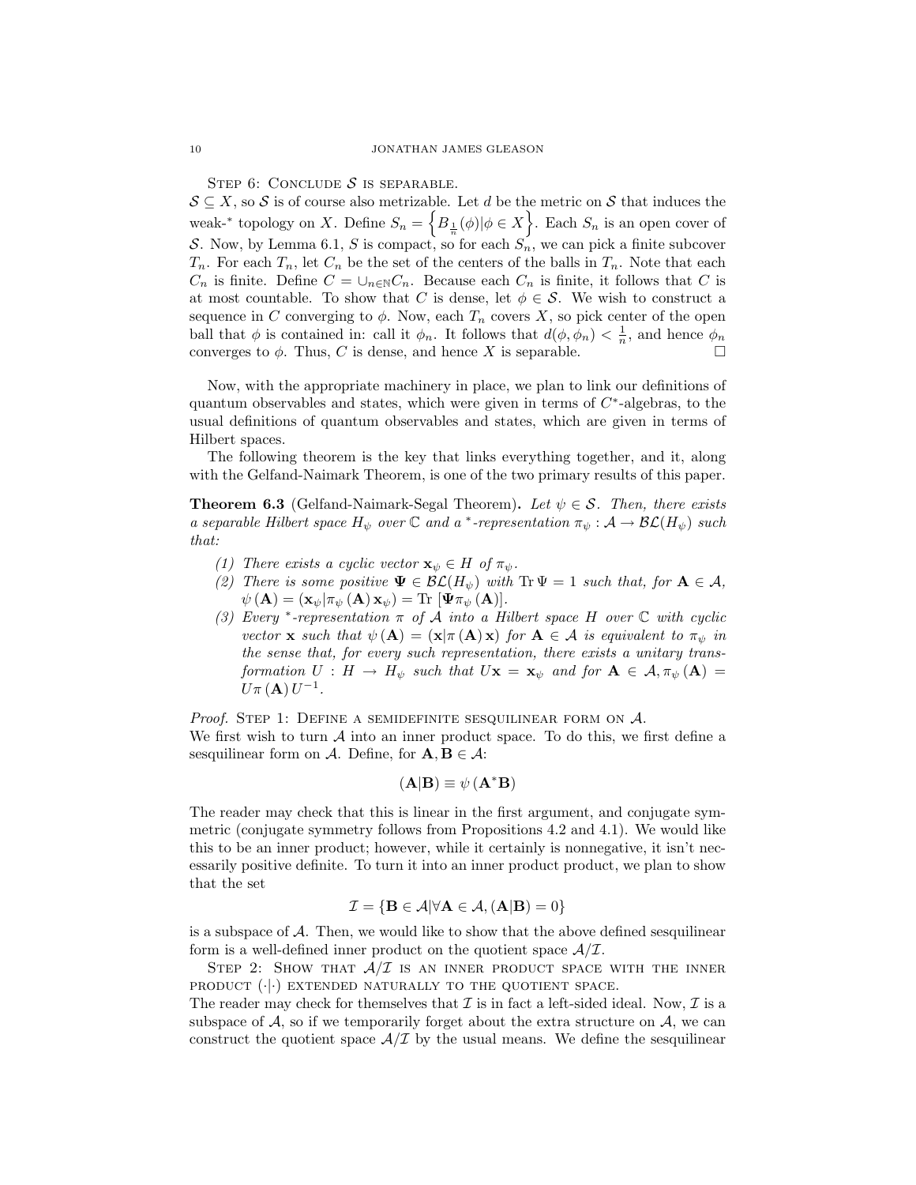STEP 6: CONCLUDE  $S$  is separable.

 $S \subseteq X$ , so S is of course also metrizable. Let d be the metric on S that induces the weak-<sup>\*</sup> topology on X. Define  $S_n = \left\{ B_{\frac{1}{n}}(\phi) | \phi \in X \right\}$ . Each  $S_n$  is an open cover of S. Now, by Lemma 6.1, S is compact, so for each  $S_n$ , we can pick a finite subcover  $T_n$ . For each  $T_n$ , let  $C_n$  be the set of the centers of the balls in  $T_n$ . Note that each  $C_n$  is finite. Define  $C = \bigcup_{n \in \mathbb{N}} C_n$ . Because each  $C_n$  is finite, it follows that C is at most countable. To show that C is dense, let  $\phi \in \mathcal{S}$ . We wish to construct a sequence in C converging to  $\phi$ . Now, each  $T_n$  covers X, so pick center of the open ball that  $\phi$  is contained in: call it  $\phi_n$ . It follows that  $d(\phi, \phi_n) < \frac{1}{n}$ , and hence  $\phi_n$ converges to  $\phi$ . Thus, C is dense, and hence X is separable.

Now, with the appropriate machinery in place, we plan to link our definitions of quantum observables and states, which were given in terms of  $C^*$ -algebras, to the usual definitions of quantum observables and states, which are given in terms of Hilbert spaces.

The following theorem is the key that links everything together, and it, along with the Gelfand-Naimark Theorem, is one of the two primary results of this paper.

**Theorem 6.3** (Gelfand-Naimark-Segal Theorem). Let  $\psi \in \mathcal{S}$ . Then, there exists a separable Hilbert space  $H_{\psi}$  over  $\mathbb C$  and a \*-representation  $\pi_{\psi}: \mathcal A \to \mathcal{BL}(H_{\psi})$  such that:

- (1) There exists a cyclic vector  $\mathbf{x}_{\psi} \in H$  of  $\pi_{\psi}$ .
- (2) There is some positive  $\Psi \in \mathcal{BL}(H_{\psi})$  with  $Tr \Psi = 1$  such that, for  $\mathbf{A} \in \mathcal{A}$ ,  $\psi\left(\mathbf{A}\right)=\left(\mathbf{x}_{\psi}|\pi_{\psi}\left(\mathbf{A}\right)\mathbf{x}_{\psi}\right)=\text{Tr}\ [\mathbf{\Psi}\pi_{\psi}\left(\mathbf{A}\right)].$
- (3) Every \*-representation  $\pi$  of  $\tilde{A}$  into a Hilbert space H over  $\mathbb C$  with cyclic vector **x** such that  $\psi(\mathbf{A}) = (\mathbf{x} | \pi(\mathbf{A}) \mathbf{x})$  for  $\mathbf{A} \in \mathcal{A}$  is equivalent to  $\pi_{\psi}$  in the sense that, for every such representation, there exists a unitary transformation  $U : H \to H_{\psi}$  such that  $U\mathbf{x} = \mathbf{x}_{\psi}$  and for  $\mathbf{A} \in \mathcal{A}, \pi_{\psi}(\mathbf{A}) =$  $U \pi (\mathbf{A}) U^{-1}$ .

*Proof.* STEP 1: DEFINE A SEMIDEFINITE SESQUILINEAR FORM ON  $A$ . We first wish to turn  $A$  into an inner product space. To do this, we first define a sesquilinear form on A. Define, for  $\mathbf{A}, \mathbf{B} \in \mathcal{A}$ :

$$
(\mathbf{A}|\mathbf{B}) \equiv \psi \left( \mathbf{A}^* \mathbf{B} \right)
$$

The reader may check that this is linear in the first argument, and conjugate symmetric (conjugate symmetry follows from Propositions 4.2 and 4.1). We would like this to be an inner product; however, while it certainly is nonnegative, it isn't necessarily positive definite. To turn it into an inner product product, we plan to show that the set

$$
\mathcal{I} = \{ \mathbf{B} \in \mathcal{A} | \forall \mathbf{A} \in \mathcal{A}, (\mathbf{A}|\mathbf{B}) = 0 \}
$$

is a subspace of  $A$ . Then, we would like to show that the above defined sesquilinear form is a well-defined inner product on the quotient space  $A/\mathcal{I}$ .

STEP 2: SHOW THAT  $A/\mathcal{I}$  is an inner product space with the inner PRODUCT  $(\cdot|\cdot)$  EXTENDED NATURALLY TO THE QUOTIENT SPACE.

The reader may check for themselves that  $\mathcal I$  is in fact a left-sided ideal. Now,  $\mathcal I$  is a subspace of  $A$ , so if we temporarily forget about the extra structure on  $A$ , we can construct the quotient space  $A/\mathcal{I}$  by the usual means. We define the sesquilinear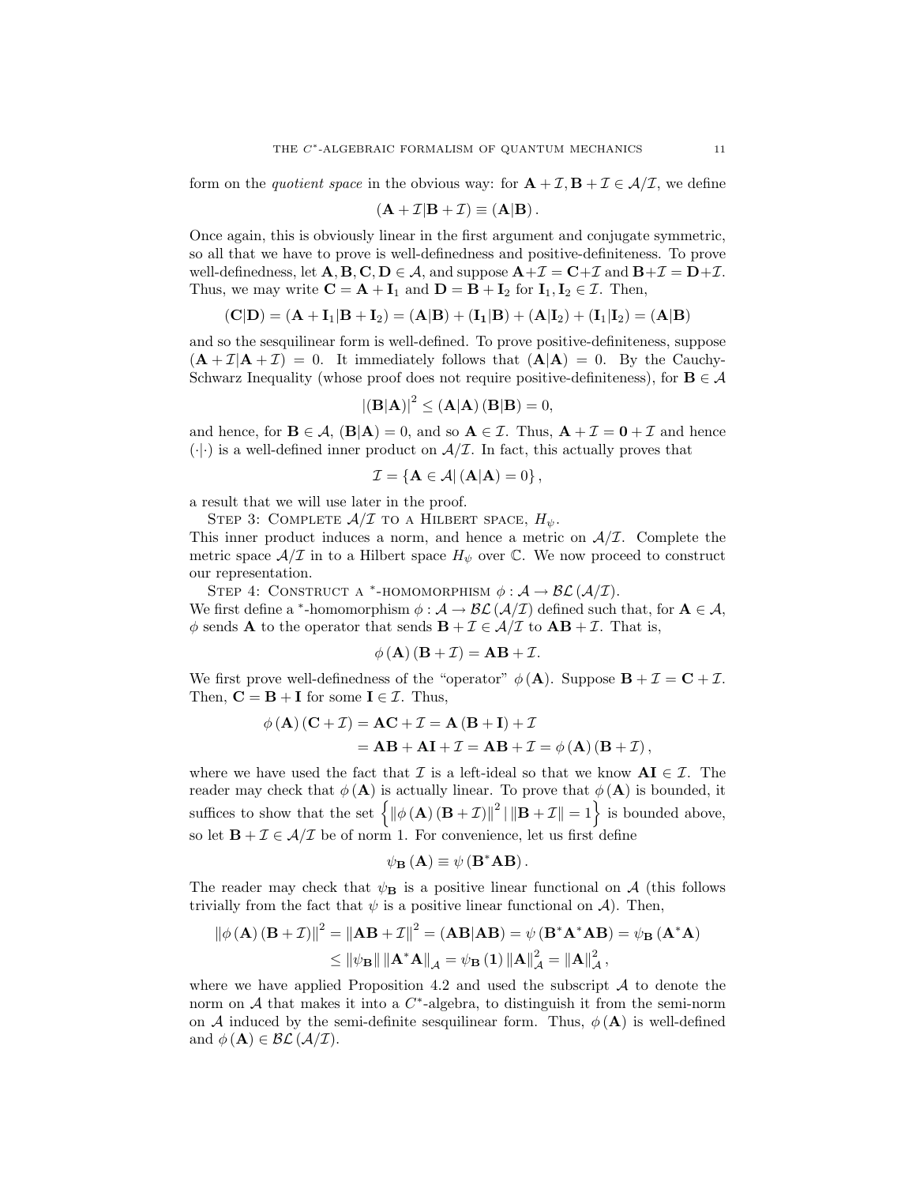form on the *quotient space* in the obvious way: for  $\mathbf{A} + \mathcal{I}, \mathbf{B} + \mathcal{I} \in \mathcal{A}/\mathcal{I}$ , we define

$$
(\mathbf{A} + \mathcal{I}|\mathbf{B} + \mathcal{I}) \equiv (\mathbf{A}|\mathbf{B}).
$$

Once again, this is obviously linear in the first argument and conjugate symmetric, so all that we have to prove is well-definedness and positive-definiteness. To prove well-definedness, let  $\mathbf{A}, \mathbf{B}, \mathbf{C}, \mathbf{D} \in \mathcal{A}$ , and suppose  $\mathbf{A} + \mathcal{I} = \mathbf{C} + \mathcal{I}$  and  $\mathbf{B} + \mathcal{I} = \mathbf{D} + \mathcal{I}$ . Thus, we may write  $\mathbf{C} = \mathbf{A} + \mathbf{I}_1$  and  $\mathbf{D} = \mathbf{B} + \mathbf{I}_2$  for  $\mathbf{I}_1, \mathbf{I}_2 \in \mathcal{I}$ . Then,

$$
(C|D) = (A + I_1|B + I_2) = (A|B) + (I_1|B) + (A|I_2) + (I_1|I_2) = (A|B)
$$

and so the sesquilinear form is well-defined. To prove positive-definiteness, suppose  $(A + \mathcal{I}A + \mathcal{I}) = 0$ . It immediately follows that  $(A|A) = 0$ . By the Cauchy-Schwarz Inequality (whose proof does not require positive-definiteness), for  $B \in \mathcal{A}$ 

$$
|\mathbf{(B|A)}|^2 \leq (\mathbf{A}|\mathbf{A})\left(\mathbf{B}|\mathbf{B}\right) = 0,
$$

and hence, for  $\mathbf{B} \in \mathcal{A}$ ,  $(\mathbf{B}|\mathbf{A}) = 0$ , and so  $\mathbf{A} \in \mathcal{I}$ . Thus,  $\mathbf{A} + \mathcal{I} = \mathbf{0} + \mathcal{I}$  and hence  $(\cdot|\cdot)$  is a well-defined inner product on  $\mathcal{A}/\mathcal{I}$ . In fact, this actually proves that

$$
\mathcal{I} = \left\{ \mathbf{A} \in \mathcal{A} \right| (\mathbf{A}|\mathbf{A}) = 0 \right\},\
$$

a result that we will use later in the proof.

STEP 3: COMPLETE  $A/\mathcal{I}$  to a HILBERT SPACE,  $H_{\psi}$ .

This inner product induces a norm, and hence a metric on  $A/\mathcal{I}$ . Complete the metric space  $A/\mathcal{I}$  in to a Hilbert space  $H_{\psi}$  over  $\mathbb{C}$ . We now proceed to construct our representation.

STEP 4: CONSTRUCT A \*-HOMOMORPHISM  $\phi : A \rightarrow \mathcal{BL}(A/\mathcal{I}).$ We first define a \*-homomorphism  $\phi : A \to \mathcal{BL}(\mathcal{A}/\mathcal{I})$  defined such that, for  $A \in \mathcal{A}$ ,  $\phi$  sends **A** to the operator that sends **B** +  $\mathcal{I} \in \mathcal{A}/\mathcal{I}$  to **AB** +  $\mathcal{I}$ . That is,

$$
\phi(\mathbf{A})(\mathbf{B} + \mathcal{I}) = \mathbf{A}\mathbf{B} + \mathcal{I}.
$$

We first prove well-definedness of the "operator"  $\phi(\mathbf{A})$ . Suppose  $\mathbf{B} + \mathcal{I} = \mathbf{C} + \mathcal{I}$ . Then,  $\mathbf{C} = \mathbf{B} + \mathbf{I}$  for some  $\mathbf{I} \in \mathcal{I}$ . Thus,

$$
\phi(\mathbf{A})(\mathbf{C} + \mathcal{I}) = \mathbf{AC} + \mathcal{I} = \mathbf{A}(\mathbf{B} + \mathbf{I}) + \mathcal{I}
$$
  
=  $\mathbf{AB} + \mathbf{AI} + \mathcal{I} = \mathbf{AB} + \mathcal{I} = \phi(\mathbf{A})(\mathbf{B} + \mathcal{I}),$ 

where we have used the fact that  $\mathcal I$  is a left-ideal so that we know  $\mathbf{A}\mathbf{I} \in \mathcal I$ . The reader may check that  $\phi (\mathbf{A})$  is actually linear. To prove that  $\phi (\mathbf{A})$  is bounded, it suffices to show that the set  $\left\{ \left\| \phi(\mathbf{A}) (\mathbf{B} + \mathcal{I}) \right\|^2 \middle| \left\| \mathbf{B} + \mathcal{I} \right\| = 1 \right\}$  is bounded above, so let  $\mathbf{B} + \mathcal{I} \in \mathcal{A}/\mathcal{I}$  be of norm 1. For convenience, let us first define

$$
\psi_{\mathbf{B}}\left(\mathbf{A}\right) \equiv \psi\left(\mathbf{B}^* \mathbf{A} \mathbf{B}\right).
$$

The reader may check that  $\psi_{\mathbf{B}}$  is a positive linear functional on A (this follows trivially from the fact that  $\psi$  is a positive linear functional on A). Then,

$$
\|\phi(\mathbf{A})(\mathbf{B}+\mathcal{I})\|^2 = \|\mathbf{A}\mathbf{B}+\mathcal{I}\|^2 = (\mathbf{A}\mathbf{B}|\mathbf{A}\mathbf{B}) = \psi(\mathbf{B}^*\mathbf{A}^*\mathbf{A}\mathbf{B}) = \psi_{\mathbf{B}}(\mathbf{A}^*\mathbf{A})
$$
  
\n
$$
\leq \|\psi_{\mathbf{B}}\| \|\mathbf{A}^*\mathbf{A}\|_{\mathcal{A}} = \psi_{\mathbf{B}}(1) \|\mathbf{A}\|_{\mathcal{A}}^2 = \|\mathbf{A}\|_{\mathcal{A}}^2,
$$

where we have applied Proposition 4.2 and used the subscript  $A$  to denote the norm on  $A$  that makes it into a  $C^*$ -algebra, to distinguish it from the semi-norm on A induced by the semi-definite sesquilinear form. Thus,  $\phi(A)$  is well-defined and  $\phi(\mathbf{A}) \in \mathcal{BL}(\mathcal{A}/\mathcal{I}).$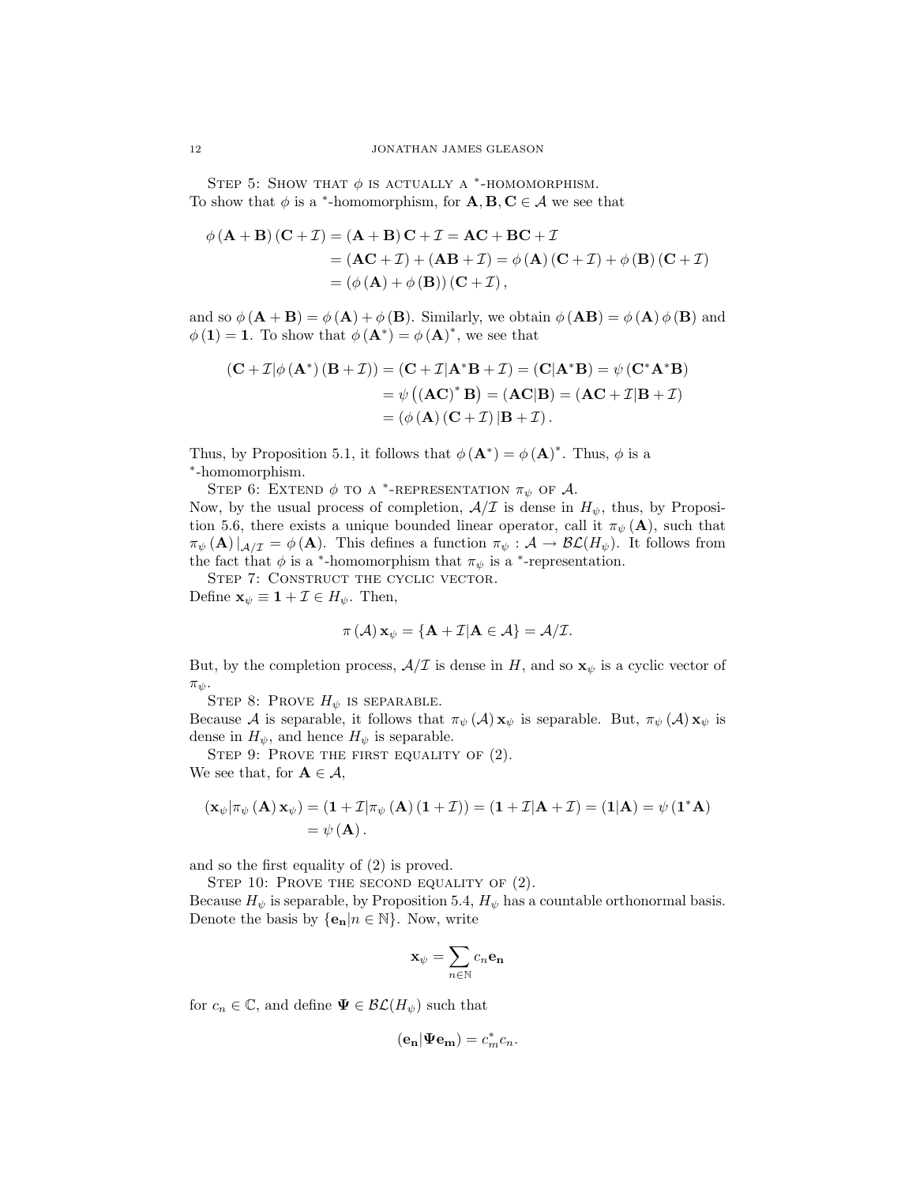STEP 5: SHOW THAT  $\phi$  is actually a \*-HOMOMORPHISM. To show that  $\phi$  is a <sup>\*</sup>-homomorphism, for  $\mathbf{A}, \mathbf{B}, \mathbf{C} \in \mathcal{A}$  we see that

$$
\phi (\mathbf{A} + \mathbf{B}) (\mathbf{C} + \mathcal{I}) = (\mathbf{A} + \mathbf{B}) \mathbf{C} + \mathcal{I} = \mathbf{A} \mathbf{C} + \mathbf{B} \mathbf{C} + \mathcal{I}
$$
  
= (\mathbf{A} \mathbf{C} + \mathcal{I}) + (\mathbf{A} \mathbf{B} + \mathcal{I}) = \phi (\mathbf{A}) (\mathbf{C} + \mathcal{I}) + \phi (\mathbf{B}) (\mathbf{C} + \mathcal{I})  
= (\phi (\mathbf{A}) + \phi (\mathbf{B})) (\mathbf{C} + \mathcal{I}),

and so  $\phi(\mathbf{A} + \mathbf{B}) = \phi(\mathbf{A}) + \phi(\mathbf{B})$ . Similarly, we obtain  $\phi(\mathbf{A}\mathbf{B}) = \phi(\mathbf{A})\phi(\mathbf{B})$  and  $\phi(\mathbf{1}) = \mathbf{1}$ . To show that  $\phi(\mathbf{A}^*) = \phi(\mathbf{A})^*$ , we see that

$$
(\mathbf{C} + \mathcal{I} | \phi(\mathbf{A}^*) (\mathbf{B} + \mathcal{I})) = (\mathbf{C} + \mathcal{I} | \mathbf{A}^* \mathbf{B} + \mathcal{I}) = (\mathbf{C} | \mathbf{A}^* \mathbf{B}) = \psi(\mathbf{C}^* \mathbf{A}^* \mathbf{B})
$$

$$
= \psi((\mathbf{A}\mathbf{C})^* \mathbf{B}) = (\mathbf{A}\mathbf{C} | \mathbf{B}) = (\mathbf{A}\mathbf{C} + \mathcal{I} | \mathbf{B} + \mathcal{I})
$$

$$
= (\phi(\mathbf{A})(\mathbf{C} + \mathcal{I}) | \mathbf{B} + \mathcal{I}).
$$

Thus, by Proposition 5.1, it follows that  $\phi(\mathbf{A}^*) = \phi(\mathbf{A})^*$ . Thus,  $\phi$  is a ∗ -homomorphism.

STEP 6: EXTEND  $\phi$  to a <sup>\*</sup>-representation  $\pi_{\psi}$  of A. Now, by the usual process of completion,  $A/\mathcal{I}$  is dense in  $H_{\psi}$ , thus, by Proposition 5.6, there exists a unique bounded linear operator, call it  $\pi_{\psi}(\mathbf{A})$ , such that  $\pi_{\psi}(\mathbf{A})|_{\mathcal{A}/\mathcal{I}} = \phi(\mathbf{A})$ . This defines a function  $\pi_{\psi}: \mathcal{A} \to \mathcal{BL}(H_{\psi})$ . It follows from the fact that  $\phi$  is a <sup>\*</sup>-homomorphism that  $\pi_{\psi}$  is a <sup>\*</sup>-representation.

STEP 7: CONSTRUCT THE CYCLIC VECTOR.

Define  $\mathbf{x}_{\psi} \equiv \mathbf{1} + \mathcal{I} \in H_{\psi}$ . Then,

$$
\pi(\mathcal{A})\mathbf{x}_{\psi} = \{\mathbf{A} + \mathcal{I}|\mathbf{A} \in \mathcal{A}\} = \mathcal{A}/\mathcal{I}.
$$

But, by the completion process,  $A/\mathcal{I}$  is dense in H, and so  $\mathbf{x}_{\psi}$  is a cyclic vector of  $\pi_{\psi}$ .

STEP 8: PROVE  $H_{\psi}$  is separable.

Because A is separable, it follows that  $\pi_{\psi}(A) \mathbf{x}_{\psi}$  is separable. But,  $\pi_{\psi}(A) \mathbf{x}_{\psi}$  is dense in  $H_{\psi}$ , and hence  $H_{\psi}$  is separable.

STEP 9: PROVE THE FIRST EQUALITY OF  $(2)$ . We see that, for  $A \in \mathcal{A}$ ,

$$
(\mathbf{x}_{\psi}|\pi_{\psi}(\mathbf{A})\mathbf{x}_{\psi}) = (\mathbf{1} + \mathcal{I}|\pi_{\psi}(\mathbf{A}) (\mathbf{1} + \mathcal{I})) = (\mathbf{1} + \mathcal{I}|\mathbf{A} + \mathcal{I}) = (\mathbf{1}|\mathbf{A}) = \psi(\mathbf{1}^*\mathbf{A})
$$
  
=  $\psi(\mathbf{A}).$ 

and so the first equality of (2) is proved.

STEP 10: PROVE THE SECOND EQUALITY OF  $(2)$ .

Because  $H_{\psi}$  is separable, by Proposition 5.4,  $H_{\psi}$  has a countable orthonormal basis. Denote the basis by  $\{e_n | n \in \mathbb{N}\}\$ . Now, write

$$
\mathbf{x}_{\psi} = \sum_{n \in \mathbb{N}} c_n \mathbf{e_n}
$$

for  $c_n \in \mathbb{C}$ , and define  $\Psi \in \mathcal{BL}(H_{\psi})$  such that

$$
(\mathbf{e_n}|\mathbf{\Psi e_m})=c_m^*c_n.
$$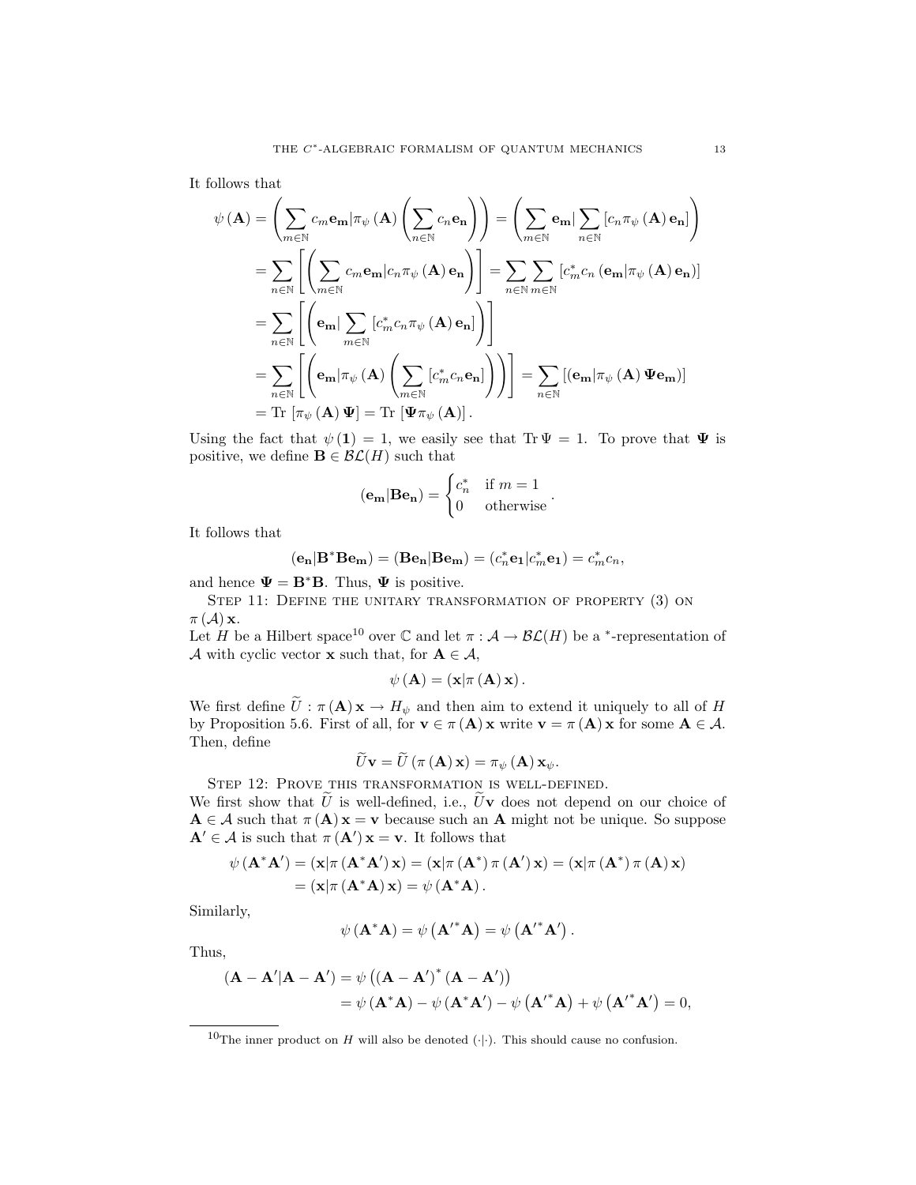It follows that

$$
\psi(\mathbf{A}) = \left(\sum_{m \in \mathbb{N}} c_m \mathbf{e_m} |\pi_{\psi}(\mathbf{A}) \left(\sum_{n \in \mathbb{N}} c_n \mathbf{e_n}\right)\right) = \left(\sum_{m \in \mathbb{N}} \mathbf{e_m} |\sum_{n \in \mathbb{N}} [c_n \pi_{\psi}(\mathbf{A}) \mathbf{e_n}]\right)
$$

$$
= \sum_{n \in \mathbb{N}} \left[ \left(\sum_{m \in \mathbb{N}} c_m \mathbf{e_m} |c_n \pi_{\psi}(\mathbf{A}) \mathbf{e_n}\right) \right] = \sum_{n \in \mathbb{N}} \sum_{m \in \mathbb{N}} [c_m^* c_n (\mathbf{e_m} | \pi_{\psi}(\mathbf{A}) \mathbf{e_n})]
$$

$$
= \sum_{n \in \mathbb{N}} \left[ \left(\mathbf{e_m} |\sum_{m \in \mathbb{N}} [c_m^* c_n \pi_{\psi}(\mathbf{A}) \mathbf{e_n}] \right) \right]
$$

$$
= \sum_{n \in \mathbb{N}} \left[ \left(\mathbf{e_m} |\pi_{\psi}(\mathbf{A}) \left(\sum_{m \in \mathbb{N}} [c_m^* c_n \mathbf{e_n}] \right) \right) \right] = \sum_{n \in \mathbb{N}} [(\mathbf{e_m} | \pi_{\psi}(\mathbf{A}) \Psi \mathbf{e_m})]
$$

$$
= \text{Tr} [\pi_{\psi}(\mathbf{A}) \Psi] = \text{Tr} [\Psi \pi_{\psi}(\mathbf{A})].
$$

Using the fact that  $\psi(1) = 1$ , we easily see that Tr  $\Psi = 1$ . To prove that  $\Psi$  is positive, we define **B**  $\in$   $\mathcal{BL}(H)$  such that

$$
(\mathbf{e}_{\mathbf{m}}|\mathbf{B}\mathbf{e}_{\mathbf{n}}) = \begin{cases} c_n^* & \text{if } m = 1\\ 0 & \text{otherwise} \end{cases}.
$$

It follows that

$$
(\mathbf{e_n}|\mathbf{B^*Be_m})=(\mathbf{Be_n}|\mathbf{Be_m})=(c_n^*\mathbf{e_1}|c_m^*\mathbf{e_1})=c_m^*c_n,
$$

and hence  $\Psi = \mathbf{B}^* \mathbf{B}$ . Thus,  $\Psi$  is positive.

STEP 11: DEFINE THE UNITARY TRANSFORMATION OF PROPERTY (3) ON  $\pi(\mathcal{A})\mathbf{x}$ .

Let H be a Hilbert space<sup>10</sup> over C and let  $\pi : A \to \mathcal{BL}(H)$  be a <sup>\*</sup>-representation of A with cyclic vector **x** such that, for  $A \in \mathcal{A}$ ,

$$
\psi (\mathbf{A}) = (\mathbf{x} | \pi (\mathbf{A}) \mathbf{x}).
$$

We first define  $\widetilde{U}$  :  $\pi(\mathbf{A}) \mathbf{x} \to H_{\psi}$  and then aim to extend it uniquely to all of H by Proposition 5.6. First of all, for  $\mathbf{v} \in \pi(\mathbf{A})\mathbf{x}$  write  $\mathbf{v} = \pi(\mathbf{A})\mathbf{x}$  for some  $\mathbf{A} \in \mathcal{A}$ . Then, define

$$
\widetilde{U}\mathbf{v} = \widetilde{U}\left(\pi\left(\mathbf{A}\right)\mathbf{x}\right) = \pi_{\psi}\left(\mathbf{A}\right)\mathbf{x}_{\psi}.
$$

 $U**v** = U(\pi (**A**)**x**) = \pi_{\psi (**A**)**x**_{\psi}.$ <br>Step 12: Prove this transformation is well-defined.

We first show that  $\tilde{U}$  is well-defined, i.e.,  $\tilde{U}$ **v** does not depend on our choice of  $A \in \mathcal{A}$  such that  $\pi(A) x = v$  because such an A might not be unique. So suppose  $\mathbf{A}' \in \mathcal{A}$  is such that  $\pi(\mathbf{A}') \mathbf{x} = \mathbf{v}$ . It follows that

$$
\psi (\mathbf{A}^* \mathbf{A}') = (\mathbf{x} | \pi (\mathbf{A}^* \mathbf{A}') \mathbf{x}) = (\mathbf{x} | \pi (\mathbf{A}^*) \pi (\mathbf{A}') \mathbf{x}) = (\mathbf{x} | \pi (\mathbf{A}^*) \pi (\mathbf{A}) \mathbf{x})
$$

$$
= (\mathbf{x} | \pi (\mathbf{A}^* \mathbf{A}) \mathbf{x}) = \psi (\mathbf{A}^* \mathbf{A}).
$$

Similarly,

$$
\psi\left(\mathbf{A}^*\mathbf{A}\right) = \psi\left(\mathbf{A'}^*\mathbf{A}\right) = \psi\left(\mathbf{A'}^*\mathbf{A'}\right).
$$

Thus,

$$
(\mathbf{A} - \mathbf{A}' | \mathbf{A} - \mathbf{A}') = \psi ((\mathbf{A} - \mathbf{A}')^* (\mathbf{A} - \mathbf{A}'))
$$
  
=  $\psi (\mathbf{A}^* \mathbf{A}) - \psi (\mathbf{A}^* \mathbf{A}') - \psi (\mathbf{A}'^* \mathbf{A}) + \psi (\mathbf{A}'^* \mathbf{A}') = 0,$ 

<sup>&</sup>lt;sup>10</sup>The inner product on H will also be denoted ( $\cdot$ ). This should cause no confusion.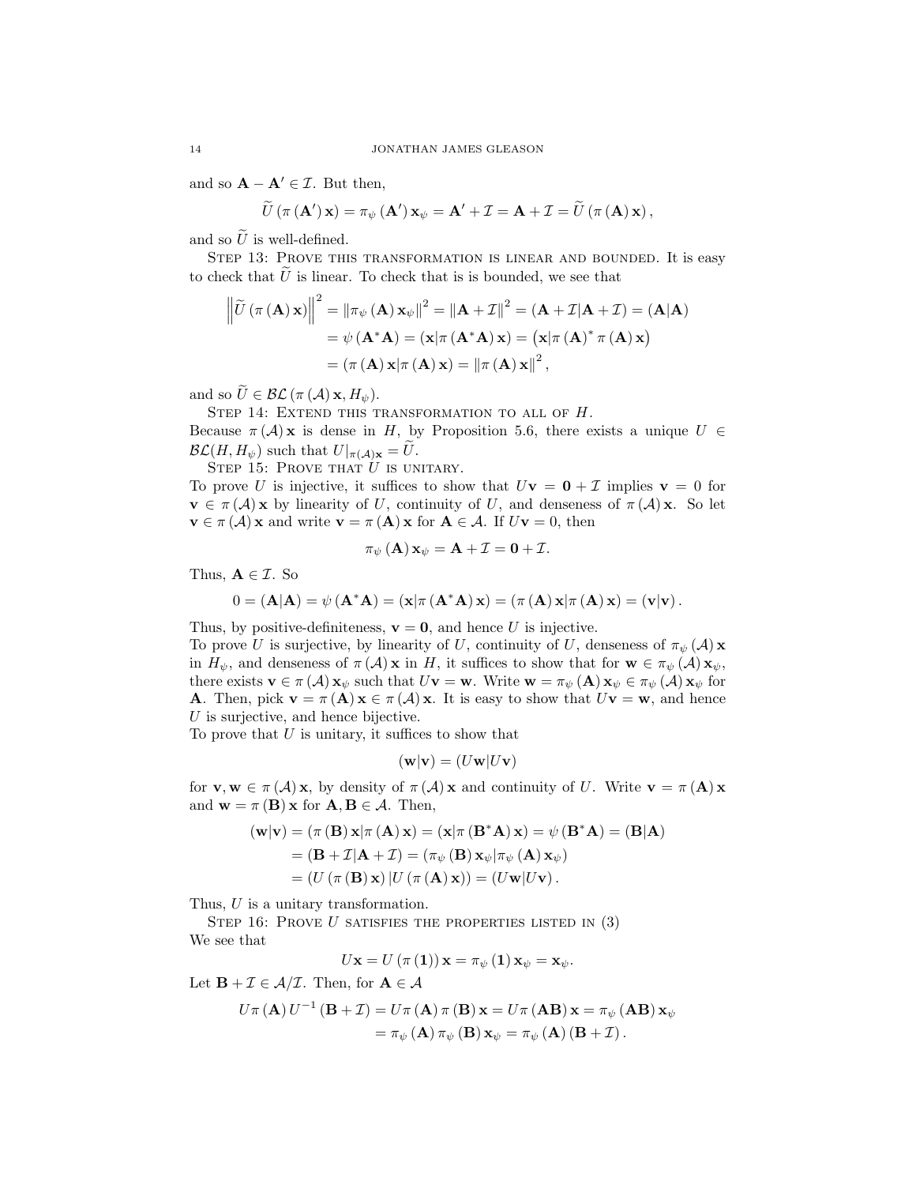and so  $\mathbf{A} - \mathbf{A}' \in \mathcal{I}$ . But then,

$$
\widetilde{U}(\pi (\mathbf{A'})\mathbf{x}) = \pi_{\psi}(\mathbf{A'})\mathbf{x}_{\psi} = \mathbf{A'} + \mathcal{I} = \mathbf{A} + \mathcal{I} = \widetilde{U}(\pi (\mathbf{A})\mathbf{x}),
$$

and so  $\tilde{U}$  is well-defined.

STEP 13: PROVE THIS TRANSFORMATION IS LINEAR AND BOUNDED. It is easy to check that  $\hat{U}$  is linear. To check that is is bounded, we see that

$$
\left\| \widetilde{U} \left( \pi \left( \mathbf{A} \right) \mathbf{x} \right) \right\|^{2} = \left\| \pi_{\psi} \left( \mathbf{A} \right) \mathbf{x}_{\psi} \right\|^{2} = \left\| \mathbf{A} + \mathcal{I} \right\|^{2} = (\mathbf{A} + \mathcal{I}|\mathbf{A} + \mathcal{I}) = (\mathbf{A}|\mathbf{A})
$$

$$
= \psi \left( \mathbf{A}^{*} \mathbf{A} \right) = (\mathbf{x}|\pi \left( \mathbf{A}^{*} \mathbf{A} \right) \mathbf{x}) = (\mathbf{x}|\pi \left( \mathbf{A} \right)^{*} \pi \left( \mathbf{A} \right) \mathbf{x})
$$

$$
= (\pi \left( \mathbf{A} \right) \mathbf{x}|\pi \left( \mathbf{A} \right) \mathbf{x}) = \left\| \pi \left( \mathbf{A} \right) \mathbf{x} \right\|^{2},
$$

and so  $\widetilde{U} \in \mathcal{BL}(\pi(\mathcal{A}) \mathbf{x}, H_{\psi}).$ 

STEP 14: EXTEND THIS TRANSFORMATION TO ALL OF  $H$ .

Because  $\pi(\mathcal{A})$ **x** is dense in H, by Proposition 5.6, there exists a unique  $U \in$  $\mathcal{BL}(H, H_{\psi})$  such that  $U|_{\pi(\mathcal{A})\mathbf{x}} = U$ .

STEP 15: PROVE THAT  $U$  is unitary.

To prove U is injective, it suffices to show that  $U\mathbf{v} = \mathbf{0} + \mathcal{I}$  implies  $\mathbf{v} = 0$  for  $\mathbf{v} \in \pi(\mathcal{A})\mathbf{x}$  by linearity of U, continuity of U, and denseness of  $\pi(\mathcal{A})\mathbf{x}$ . So let  $\mathbf{v} \in \pi(\mathcal{A})\mathbf{x}$  and write  $\mathbf{v} = \pi(\mathbf{A})\mathbf{x}$  for  $\mathbf{A} \in \mathcal{A}$ . If  $U\mathbf{v} = 0$ , then

$$
\pi_{\psi}(\mathbf{A})\mathbf{x}_{\psi}=\mathbf{A}+\mathcal{I}=\mathbf{0}+\mathcal{I}.
$$

Thus,  $A \in \mathcal{I}$ . So

$$
0 = (\mathbf{A}|\mathbf{A}) = \psi(\mathbf{A}^*\mathbf{A}) = (\mathbf{x}|\pi(\mathbf{A}^*\mathbf{A})\mathbf{x}) = (\pi(\mathbf{A})\mathbf{x}|\pi(\mathbf{A})\mathbf{x}) = (\mathbf{v}|\mathbf{v}).
$$

Thus, by positive-definiteness,  $\mathbf{v} = \mathbf{0}$ , and hence U is injective.

To prove U is surjective, by linearity of U, continuity of U, denseness of  $\pi_{\psi}(\mathcal{A})$  x in  $H_{\psi}$ , and denseness of  $\pi(\mathcal{A})\mathbf{x}$  in H, it suffices to show that for  $\mathbf{w}\in\pi_{\psi}(\mathcal{A})\mathbf{x}_{\psi}$ , there exists  $\mathbf{v} \in \pi(\mathcal{A}) \mathbf{x}_{\psi}$  such that  $U\mathbf{v} = \mathbf{w}$ . Write  $\mathbf{w} = \pi_{\psi}(\mathbf{A}) \mathbf{x}_{\psi} \in \pi_{\psi}(\mathcal{A}) \mathbf{x}_{\psi}$  for **A**. Then, pick  $\mathbf{v} = \pi(\mathbf{A})\mathbf{x} \in \pi(\mathcal{A})\mathbf{x}$ . It is easy to show that  $U\mathbf{v} = \mathbf{w}$ , and hence  $U$  is surjective, and hence bijective.

To prove that  $U$  is unitary, it suffices to show that

$$
(\mathbf{w}|\mathbf{v}) = (U\mathbf{w}|U\mathbf{v})
$$

for  $\mathbf{v}, \mathbf{w} \in \pi(\mathcal{A})\mathbf{x}$ , by density of  $\pi(\mathcal{A})\mathbf{x}$  and continuity of U. Write  $\mathbf{v} = \pi(\mathbf{A})\mathbf{x}$ and  $\mathbf{w} = \pi(\mathbf{B}) \mathbf{x}$  for  $\mathbf{A}, \mathbf{B} \in \mathcal{A}$ . Then,

$$
(\mathbf{w}|\mathbf{v}) = (\pi (\mathbf{B}) \mathbf{x}|\pi (\mathbf{A}) \mathbf{x}) = (\mathbf{x}|\pi (\mathbf{B}^* \mathbf{A}) \mathbf{x}) = \psi (\mathbf{B}^* \mathbf{A}) = (\mathbf{B}|\mathbf{A})
$$
  
=  $(\mathbf{B} + \mathcal{I}|\mathbf{A} + \mathcal{I}) = (\pi_{\psi} (\mathbf{B}) \mathbf{x}_{\psi}|\pi_{\psi} (\mathbf{A}) \mathbf{x}_{\psi})$   
=  $(U (\pi (\mathbf{B}) \mathbf{x}) | U (\pi (\mathbf{A}) \mathbf{x})) = (U \mathbf{w} | U \mathbf{v}).$ 

Thus, U is a unitary transformation.

STEP 16: PROVE  $U$  satisfies the properties listed in  $(3)$ We see that

$$
U\mathbf{x}=U\left(\pi\left(\mathbf{1}\right)\right)\mathbf{x}=\pi_{\psi}\left(\mathbf{1}\right)\mathbf{x}_{\psi}=\mathbf{x}_{\psi}.
$$

Let  $\mathbf{B} + \mathcal{I} \in \mathcal{A}/\mathcal{I}$ . Then, for  $\mathbf{A} \in \mathcal{A}$ 

$$
U\pi (\mathbf{A}) U^{-1} (\mathbf{B} + \mathcal{I}) = U\pi (\mathbf{A}) \pi (\mathbf{B}) \mathbf{x} = U\pi (\mathbf{A} \mathbf{B}) \mathbf{x} = \pi_{\psi} (\mathbf{A} \mathbf{B}) \mathbf{x}_{\psi}
$$
  
=  $\pi_{\psi} (\mathbf{A}) \pi_{\psi} (\mathbf{B}) \mathbf{x}_{\psi} = \pi_{\psi} (\mathbf{A}) (\mathbf{B} + \mathcal{I}).$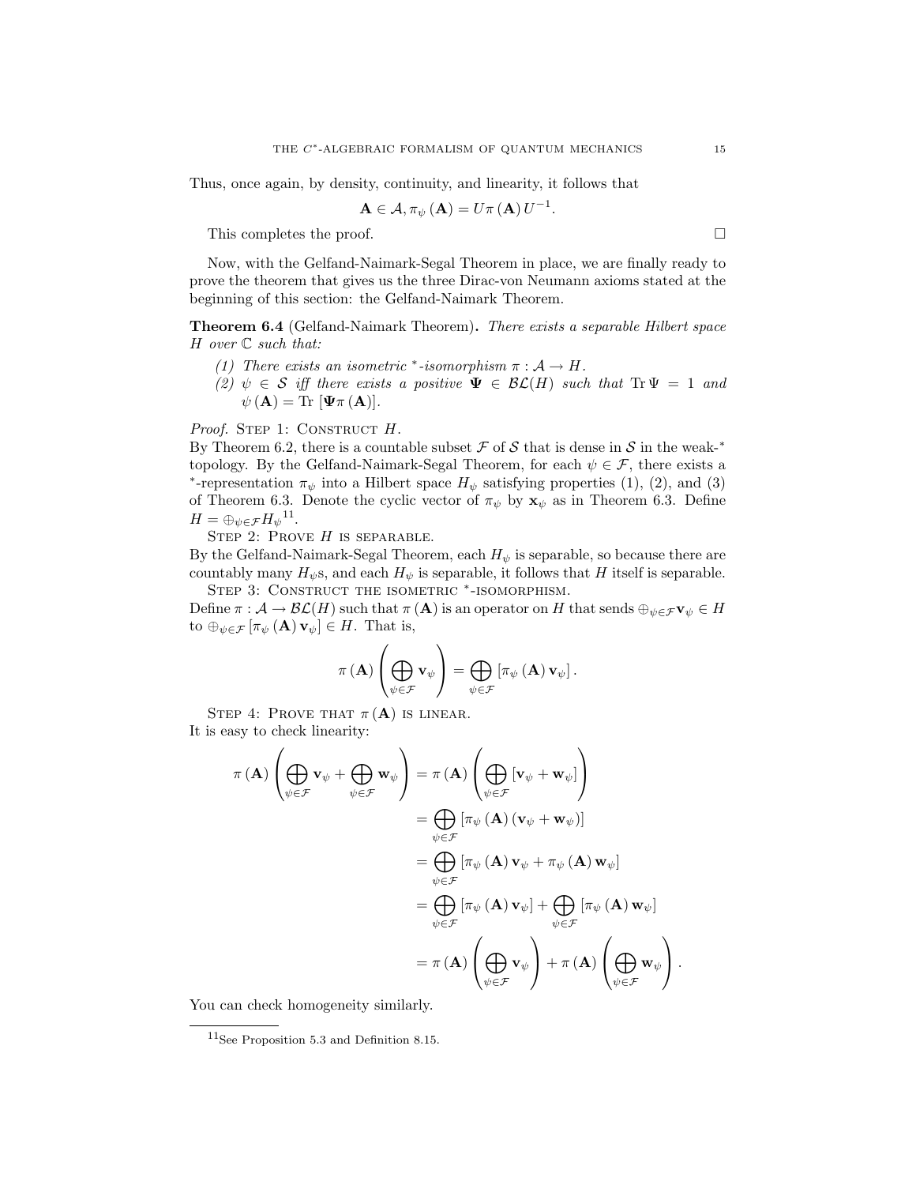Thus, once again, by density, continuity, and linearity, it follows that

$$
\mathbf{A}\in\mathcal{A},\pi_{\psi}\left(\mathbf{A}\right)=U\pi\left(\mathbf{A}\right)U^{-1}.
$$

This completes the proof.

Now, with the Gelfand-Naimark-Segal Theorem in place, we are finally ready to prove the theorem that gives us the three Dirac-von Neumann axioms stated at the beginning of this section: the Gelfand-Naimark Theorem.

Theorem 6.4 (Gelfand-Naimark Theorem). There exists a separable Hilbert space  $H$  over  $\mathbb C$  such that:

- (1) There exists an isometric \*-isomorphism  $\pi : A \to H$ .
- (2)  $\psi \in S$  iff there exists a positive  $\Psi \in \mathcal{BL}(H)$  such that  $Tr \Psi = 1$  and  $\psi(\mathbf{A}) = \text{Tr} [\Psi \pi(\mathbf{A})].$

Proof. STEP 1: CONSTRUCT H.

By Theorem 6.2, there is a countable subset  $\mathcal F$  of  $\mathcal S$  that is dense in  $\mathcal S$  in the weak-\* topology. By the Gelfand-Naimark-Segal Theorem, for each  $\psi \in \mathcal{F}$ , there exists a \*-representation  $\pi_{\psi}$  into a Hilbert space  $H_{\psi}$  satisfying properties (1), (2), and (3) of Theorem 6.3. Denote the cyclic vector of  $\pi_{\psi}$  by  $\mathbf{x}_{\psi}$  as in Theorem 6.3. Define  $H = \bigoplus_{\psi \in \mathcal{F}} H_{\psi}^{-1}$ .

STEP 2: PROVE  $H$  is separable.

By the Gelfand-Naimark-Segal Theorem, each  $H_{\psi}$  is separable, so because there are countably many  $H_{\psi}$ s, and each  $H_{\psi}$  is separable, it follows that H itself is separable. STEP 3: CONSTRUCT THE ISOMETRIC \*-ISOMORPHISM.

Define  $\pi : \mathcal{A} \to \mathcal{BL}(H)$  such that  $\pi(\mathbf{A})$  is an operator on H that sends  $\oplus_{\psi \in \mathcal{F}} \mathbf{v}_{\psi} \in H$ to  $\bigoplus_{\psi \in \mathcal{F}} [\pi_{\psi}(\mathbf{A}) \mathbf{v}_{\psi}] \in H$ . That is,

$$
\pi\left(\mathbf{A}\right)\left(\bigoplus_{\psi\in\mathcal{F}}\mathbf{v}_{\psi}\right)=\bigoplus_{\psi\in\mathcal{F}}\left[\pi_{\psi}\left(\mathbf{A}\right)\mathbf{v}_{\psi}\right].
$$

STEP 4: PROVE THAT  $\pi(A)$  is linear. It is easy to check linearity:

$$
\pi(\mathbf{A})\left(\bigoplus_{\psi \in \mathcal{F}} \mathbf{v}_{\psi} + \bigoplus_{\psi \in \mathcal{F}} \mathbf{w}_{\psi}\right) = \pi(\mathbf{A})\left(\bigoplus_{\psi \in \mathcal{F}}\left[\mathbf{v}_{\psi} + \mathbf{w}_{\psi}\right]\right)
$$

$$
= \bigoplus_{\psi \in \mathcal{F}}\left[\pi_{\psi}(\mathbf{A})\left(\mathbf{v}_{\psi} + \mathbf{w}_{\psi}\right)\right]
$$

$$
= \bigoplus_{\psi \in \mathcal{F}}\left[\pi_{\psi}(\mathbf{A})\mathbf{v}_{\psi} + \pi_{\psi}(\mathbf{A})\mathbf{w}_{\psi}\right]
$$

$$
= \bigoplus_{\psi \in \mathcal{F}}\left[\pi_{\psi}(\mathbf{A})\mathbf{v}_{\psi}\right] + \bigoplus_{\psi \in \mathcal{F}}\left[\pi_{\psi}(\mathbf{A})\mathbf{w}_{\psi}\right]
$$

$$
= \pi(\mathbf{A})\left(\bigoplus_{\psi \in \mathcal{F}} \mathbf{v}_{\psi}\right) + \pi(\mathbf{A})\left(\bigoplus_{\psi \in \mathcal{F}} \mathbf{w}_{\psi}\right).
$$

You can check homogeneity similarly.

<sup>11</sup>See Proposition 5.3 and Definition 8.15.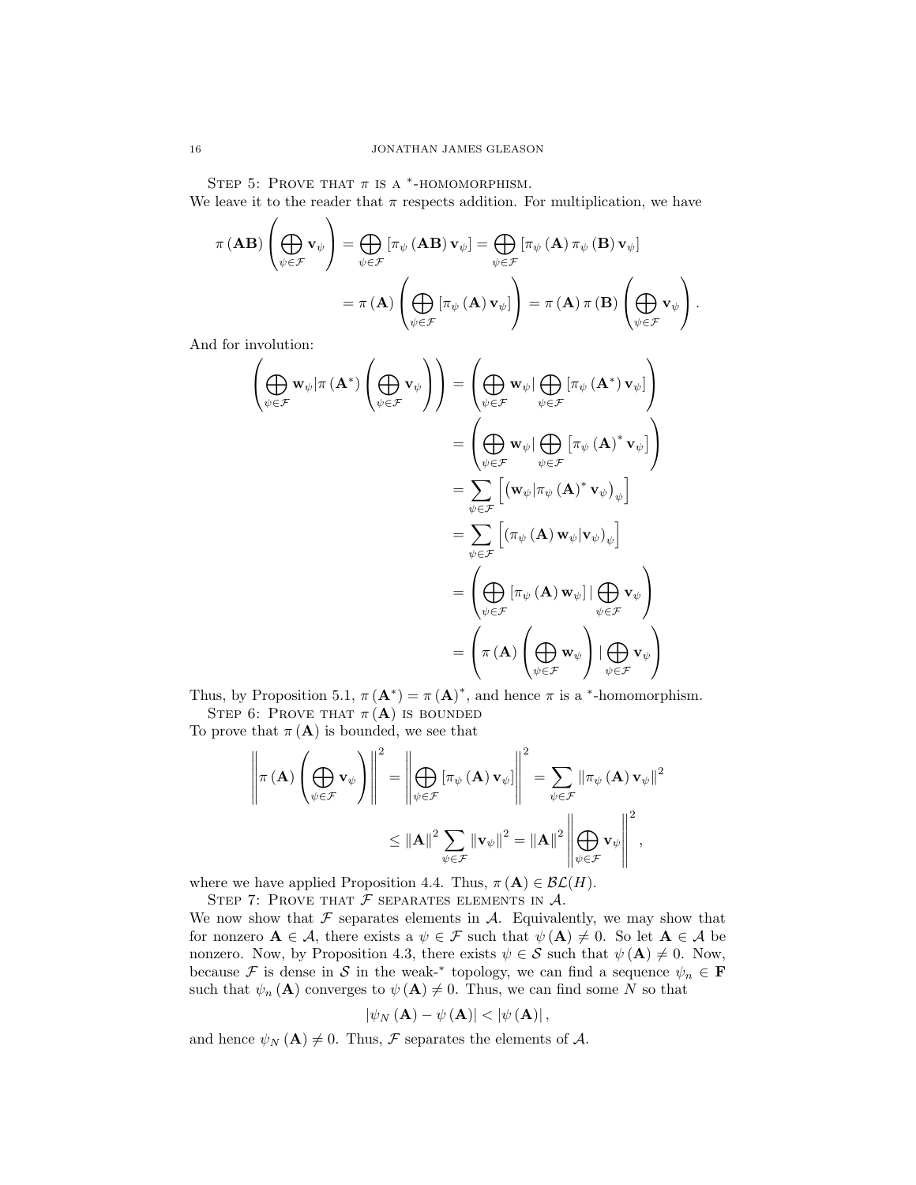STEP 5: PROVE THAT  $\pi$  is a  $*$ -HOMOMORPHISM.

 $\Delta$ 

We leave it to the reader that  $\pi$  respects addition. For multiplication, we have

$$
\pi (\mathbf{AB}) \left( \bigoplus_{\psi \in \mathcal{F}} \mathbf{v}_{\psi} \right) = \bigoplus_{\psi \in \mathcal{F}} \left[ \pi_{\psi} (\mathbf{AB}) \mathbf{v}_{\psi} \right] = \bigoplus_{\psi \in \mathcal{F}} \left[ \pi_{\psi} (\mathbf{A}) \pi_{\psi} (\mathbf{B}) \mathbf{v}_{\psi} \right] \n= \pi (\mathbf{A}) \left( \bigoplus_{\psi \in \mathcal{F}} \left[ \pi_{\psi} (\mathbf{A}) \mathbf{v}_{\psi} \right] \right) = \pi (\mathbf{A}) \pi (\mathbf{B}) \left( \bigoplus_{\psi \in \mathcal{F}} \mathbf{v}_{\psi} \right).
$$

And for involution:

 $\lambda$ 

$$
\left(\bigoplus_{\psi \in \mathcal{F}} \mathbf{w}_{\psi} | \pi(\mathbf{A}^*) \left(\bigoplus_{\psi \in \mathcal{F}} \mathbf{v}_{\psi}\right) \right) = \left(\bigoplus_{\psi \in \mathcal{F}} \mathbf{w}_{\psi} | \bigoplus_{\psi \in \mathcal{F}} [\pi_{\psi}(\mathbf{A}^*) \mathbf{v}_{\psi}] \right)
$$
\n
$$
= \left(\bigoplus_{\psi \in \mathcal{F}} \mathbf{w}_{\psi} | \bigoplus_{\psi \in \mathcal{F}} [\pi_{\psi}(\mathbf{A})^* \mathbf{v}_{\psi}] \right)
$$
\n
$$
= \sum_{\psi \in \mathcal{F}} [(\mathbf{w}_{\psi} | \pi_{\psi}(\mathbf{A})^* \mathbf{v}_{\psi})_{\psi}]
$$
\n
$$
= \sum_{\psi \in \mathcal{F}} [(\pi_{\psi}(\mathbf{A}) \mathbf{w}_{\psi} | \mathbf{v}_{\psi})_{\psi}]
$$
\n
$$
= \left(\bigoplus_{\psi \in \mathcal{F}} [\pi_{\psi}(\mathbf{A}) \mathbf{w}_{\psi}] | \bigoplus_{\psi \in \mathcal{F}} \mathbf{v}_{\psi}\right)
$$
\n
$$
= \left(\pi(\mathbf{A}) \left(\bigoplus_{\psi \in \mathcal{F}} \mathbf{w}_{\psi}\right) | \bigoplus_{\psi \in \mathcal{F}} \mathbf{v}_{\psi}\right)
$$

Thus, by Proposition 5.1,  $\pi(\mathbf{A}^*) = \pi(\mathbf{A})^*$ , and hence  $\pi$  is a \*-homomorphism. STEP 6: PROVE THAT  $\pi(A)$  is bounded

To prove that  $\pi(A)$  is bounded, we see that

$$
\left\| \pi \left( \mathbf{A} \right) \left( \bigoplus_{\psi \in \mathcal{F}} \mathbf{v}_{\psi} \right) \right\|^{2} = \left\| \bigoplus_{\psi \in \mathcal{F}} \left[ \pi_{\psi} \left( \mathbf{A} \right) \mathbf{v}_{\psi} \right] \right\|^{2} = \sum_{\psi \in \mathcal{F}} \left\| \pi_{\psi} \left( \mathbf{A} \right) \mathbf{v}_{\psi} \right\|^{2} \leq \left\| \mathbf{A} \right\|^{2} \sum_{\psi \in \mathcal{F}} \left\| \mathbf{v}_{\psi} \right\|^{2} = \left\| \mathbf{A} \right\|^{2} \left\| \bigoplus_{\psi \in \mathcal{F}} \mathbf{v}_{\psi} \right\|^{2},
$$

where we have applied Proposition 4.4. Thus,  $\pi(A) \in \mathcal{BL}(H)$ .

STEP 7: PROVE THAT  $F$  separates elements in  $A$ .

We now show that  $\mathcal F$  separates elements in  $\mathcal A$ . Equivalently, we may show that for nonzero  $A \in \mathcal{A}$ , there exists a  $\psi \in \mathcal{F}$  such that  $\psi(A) \neq 0$ . So let  $A \in \mathcal{A}$  be nonzero. Now, by Proposition 4.3, there exists  $\psi \in \mathcal{S}$  such that  $\psi (\mathbf{A}) \neq 0$ . Now, because  $\mathcal F$  is dense in  $\mathcal S$  in the weak-<sup>\*</sup> topology, we can find a sequence  $\psi_n \in \mathbf F$ such that  $\psi_n(\mathbf{A})$  converges to  $\psi(\mathbf{A}) \neq 0$ . Thus, we can find some N so that

$$
|\psi_{N}\left(\mathbf{A}\right)-\psi\left(\mathbf{A}\right)|<|\psi\left(\mathbf{A}\right)|,
$$

and hence  $\psi_N(\mathbf{A}) \neq 0$ . Thus, F separates the elements of A.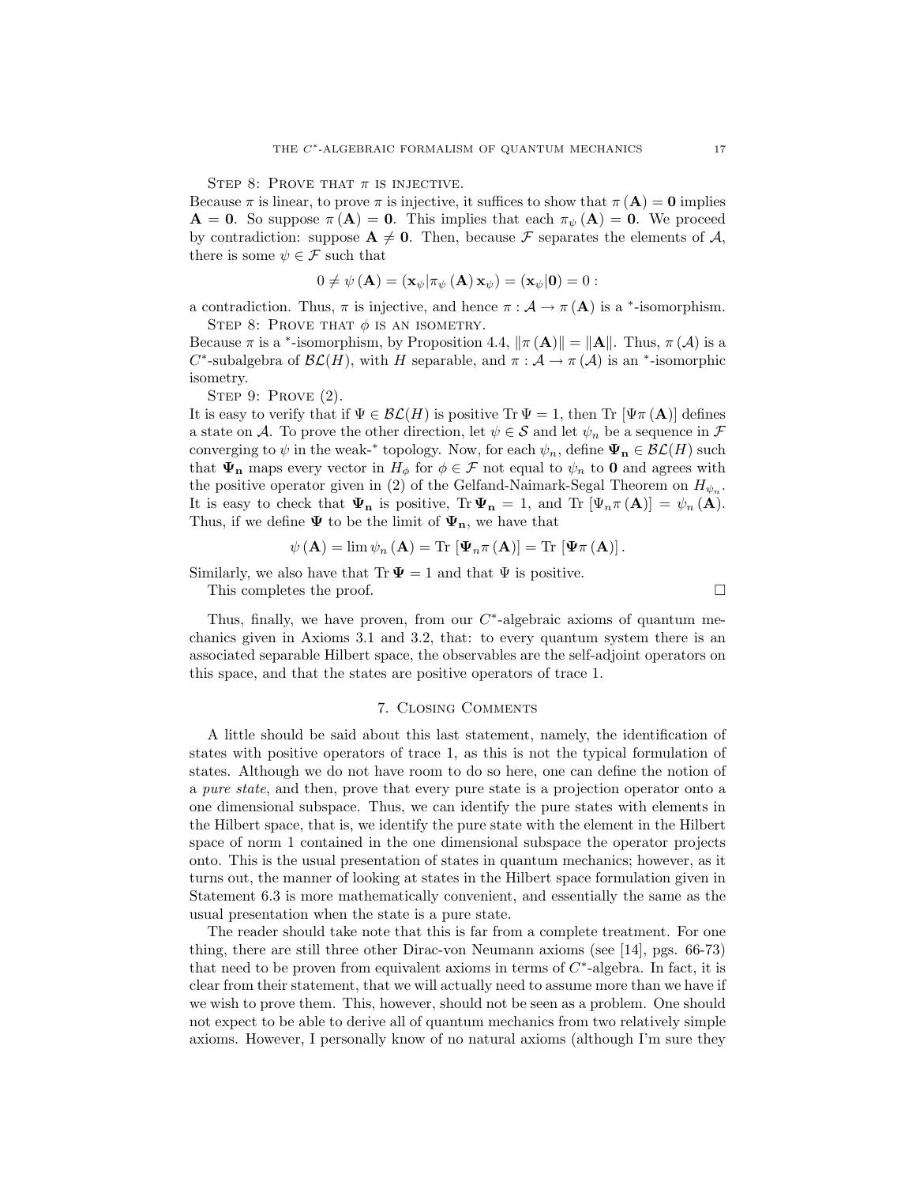STEP 8: PROVE THAT  $\pi$  is injective.

Because  $\pi$  is linear, to prove  $\pi$  is injective, it suffices to show that  $\pi(A) = 0$  implies  $\mathbf{A} = \mathbf{0}$ . So suppose  $\pi(\mathbf{A}) = \mathbf{0}$ . This implies that each  $\pi_{\psi}(\mathbf{A}) = \mathbf{0}$ . We proceed by contradiction: suppose  $A \neq 0$ . Then, because F separates the elements of A, there is some  $\psi \in \mathcal{F}$  such that

$$
0 \neq \psi (\mathbf{A}) = (\mathbf{x}_{\psi} | \pi_{\psi} (\mathbf{A}) \mathbf{x}_{\psi}) = (\mathbf{x}_{\psi} | \mathbf{0}) = 0 :
$$

a contradiction. Thus,  $\pi$  is injective, and hence  $\pi : A \to \pi(A)$  is a  $*$ -isomorphism. STEP 8: PROVE THAT  $\phi$  is an isometry.

Because  $\pi$  is a <sup>\*</sup>-isomorphism, by Proposition 4.4,  $\|\pi(A)\| = \|A\|$ . Thus,  $\pi(A)$  is a C<sup>\*</sup>-subalgebra of  $\mathcal{BL}(H)$ , with H separable, and  $\pi : \mathcal{A} \to \pi(\mathcal{A})$  is an <sup>\*</sup>-isomorphic isometry.

STEP 9: PROVE (2).

It is easy to verify that if  $\Psi \in \mathcal{BL}(H)$  is positive Tr  $\Psi = 1$ , then Tr  $[\Psi \pi (A)]$  defines a state on A. To prove the other direction, let  $\psi \in \mathcal{S}$  and let  $\psi_n$  be a sequence in  $\mathcal{F}$ converging to  $\psi$  in the weak-\* topology. Now, for each  $\psi_n$ , define  $\Psi_n \in \mathcal{BL}(H)$  such that  $\Psi_n$  maps every vector in  $H_{\phi}$  for  $\phi \in \mathcal{F}$  not equal to  $\psi_n$  to 0 and agrees with the positive operator given in (2) of the Gelfand-Naimark-Segal Theorem on  $H_{\psi_n}$ . It is easy to check that  $\Psi_n$  is positive,  $\text{Tr } \Psi_n = 1$ , and  $\text{Tr } [\Psi_n \pi(A)] = \psi_n(A)$ . Thus, if we define  $\Psi$  to be the limit of  $\Psi_n$ , we have that

$$
\psi (\mathbf{A}) = \lim \psi_n (\mathbf{A}) = \text{Tr} [\Psi_n \pi (\mathbf{A})] = \text{Tr} [\Psi \pi (\mathbf{A})].
$$

Similarly, we also have that Tr  $\Psi = 1$  and that  $\Psi$  is positive.

This completes the proof.

Thus, finally, we have proven, from our  $C^*$ -algebraic axioms of quantum mechanics given in Axioms 3.1 and 3.2, that: to every quantum system there is an associated separable Hilbert space, the observables are the self-adjoint operators on this space, and that the states are positive operators of trace 1.

### 7. Closing Comments

A little should be said about this last statement, namely, the identification of states with positive operators of trace 1, as this is not the typical formulation of states. Although we do not have room to do so here, one can define the notion of a pure state, and then, prove that every pure state is a projection operator onto a one dimensional subspace. Thus, we can identify the pure states with elements in the Hilbert space, that is, we identify the pure state with the element in the Hilbert space of norm 1 contained in the one dimensional subspace the operator projects onto. This is the usual presentation of states in quantum mechanics; however, as it turns out, the manner of looking at states in the Hilbert space formulation given in Statement 6.3 is more mathematically convenient, and essentially the same as the usual presentation when the state is a pure state.

The reader should take note that this is far from a complete treatment. For one thing, there are still three other Dirac-von Neumann axioms (see [14], pgs. 66-73) that need to be proven from equivalent axioms in terms of  $C^*$ -algebra. In fact, it is clear from their statement, that we will actually need to assume more than we have if we wish to prove them. This, however, should not be seen as a problem. One should not expect to be able to derive all of quantum mechanics from two relatively simple axioms. However, I personally know of no natural axioms (although I'm sure they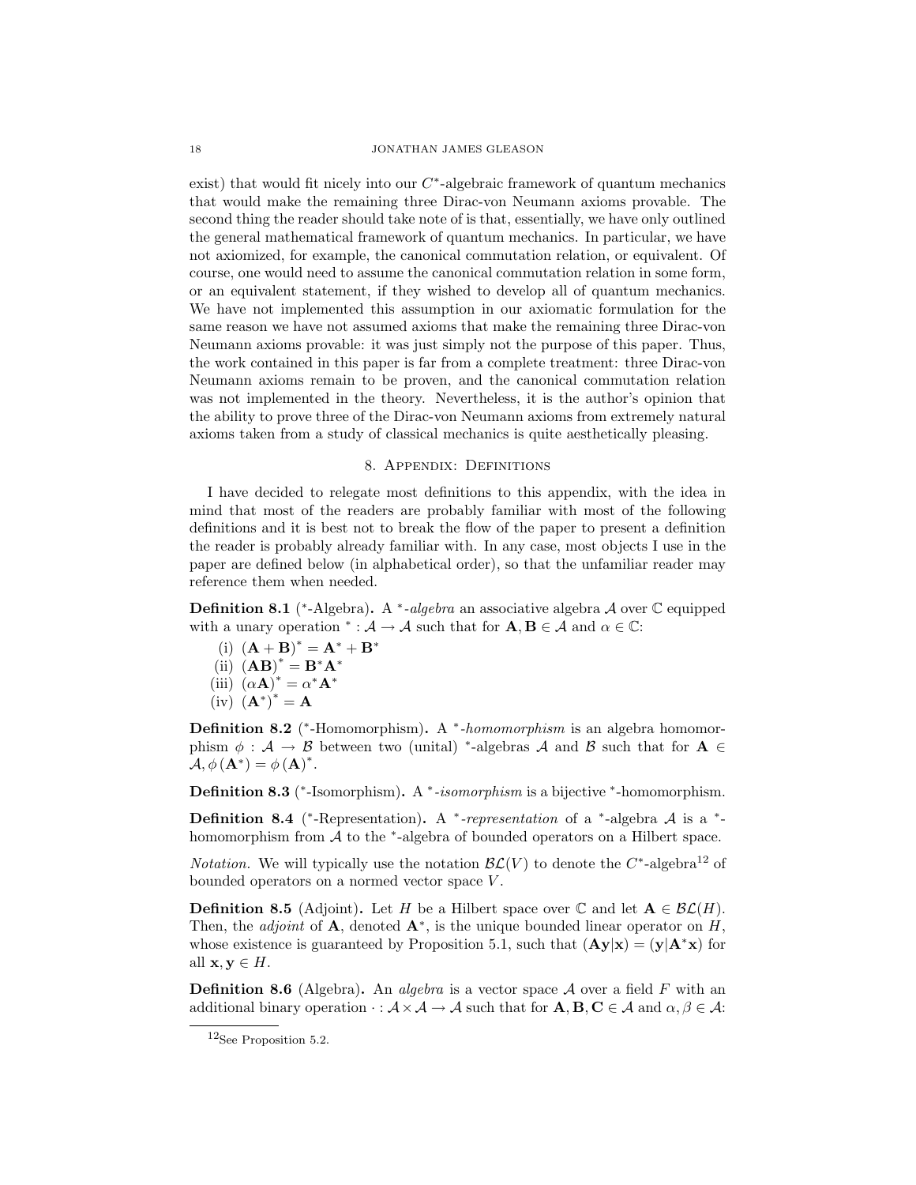18 JONATHAN JAMES GLEASON

exist) that would fit nicely into our  $C^*$ -algebraic framework of quantum mechanics that would make the remaining three Dirac-von Neumann axioms provable. The second thing the reader should take note of is that, essentially, we have only outlined the general mathematical framework of quantum mechanics. In particular, we have not axiomized, for example, the canonical commutation relation, or equivalent. Of course, one would need to assume the canonical commutation relation in some form, or an equivalent statement, if they wished to develop all of quantum mechanics. We have not implemented this assumption in our axiomatic formulation for the same reason we have not assumed axioms that make the remaining three Dirac-von Neumann axioms provable: it was just simply not the purpose of this paper. Thus, the work contained in this paper is far from a complete treatment: three Dirac-von Neumann axioms remain to be proven, and the canonical commutation relation was not implemented in the theory. Nevertheless, it is the author's opinion that the ability to prove three of the Dirac-von Neumann axioms from extremely natural axioms taken from a study of classical mechanics is quite aesthetically pleasing.

#### 8. Appendix: Definitions

I have decided to relegate most definitions to this appendix, with the idea in mind that most of the readers are probably familiar with most of the following definitions and it is best not to break the flow of the paper to present a definition the reader is probably already familiar with. In any case, most objects I use in the paper are defined below (in alphabetical order), so that the unfamiliar reader may reference them when needed.

**Definition 8.1** (\*-Algebra). A \*-algebra an associative algebra A over  $\mathbb{C}$  equipped with a unary operation  $^* : A \to A$  such that for  $A, B \in A$  and  $\alpha \in \mathbb{C}$ :

- (i)  $(**A** + **B**)^* = **A**^* + **B**^*$
- $(ii)$   $(AB)^* = B^*A^*$
- (iii)  $(\alpha \mathbf{A})^* = \alpha^* \mathbf{A}^*$
- $(iv)$   $(\mathbf{A}^*)^* = \mathbf{A}$

**Definition 8.2** (\*-Homomorphism). A \*-homomorphism is an algebra homomorphism  $\phi : A \to B$  between two (unital) \*-algebras A and B such that for  $A \in$  $\mathcal{A}, \phi(\mathbf{A}^*) = \phi(\mathbf{A})^*.$ 

**Definition 8.3** (\*-Isomorphism). A \*-*isomorphism* is a bijective \*-homomorphism.

**Definition 8.4** (\*-Representation). A \*-*representation* of a \*-algebra  $A$  is a \*homomorphism from  $A$  to the  $*$ -algebra of bounded operators on a Hilbert space.

*Notation*. We will typically use the notation  $\mathcal{BL}(V)$  to denote the  $C^*$ -algebra<sup>12</sup> of bounded operators on a normed vector space  $V$ .

**Definition 8.5** (Adjoint). Let H be a Hilbert space over  $\mathbb{C}$  and let  $\mathbf{A} \in \mathcal{BL}(H)$ . Then, the *adjoint* of **A**, denoted  $A^*$ , is the unique bounded linear operator on  $H$ , whose existence is guaranteed by Proposition 5.1, such that  $(Ay|x) = (y|A^*x)$  for all  $\mathbf{x}, \mathbf{y} \in H$ .

**Definition 8.6** (Algebra). An *algebra* is a vector space  $A$  over a field F with an additional binary operation  $\cdot : \mathcal{A} \times \mathcal{A} \to \mathcal{A}$  such that for  $\mathbf{A}, \mathbf{B}, \mathbf{C} \in \mathcal{A}$  and  $\alpha, \beta \in \mathcal{A}$ :

<sup>12</sup>See Proposition 5.2.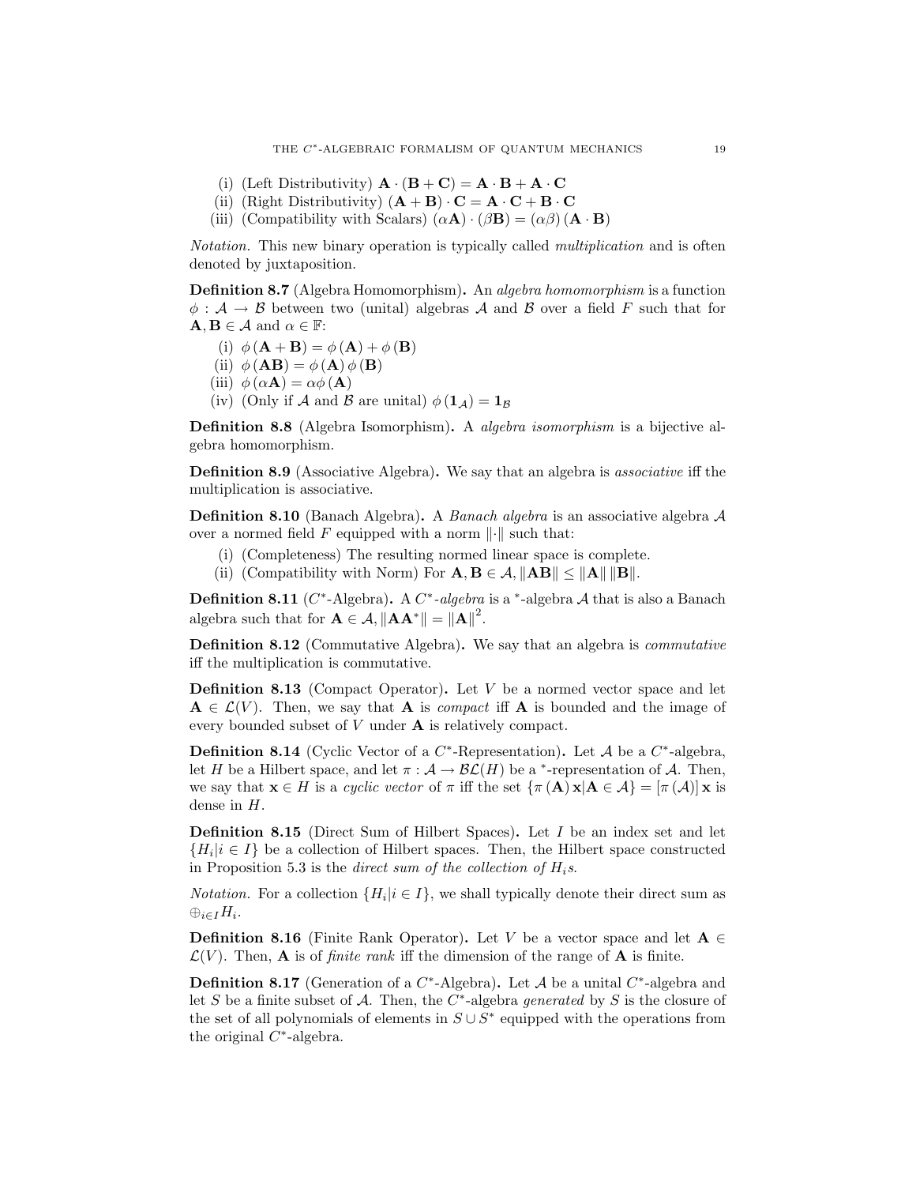- (i) (Left Distributivity)  $\mathbf{A} \cdot (\mathbf{B} + \mathbf{C}) = \mathbf{A} \cdot \mathbf{B} + \mathbf{A} \cdot \mathbf{C}$
- (ii) (Right Distributivity)  $(\mathbf{A} + \mathbf{B}) \cdot \mathbf{C} = \mathbf{A} \cdot \mathbf{C} + \mathbf{B} \cdot \mathbf{C}$
- (iii) (Compatibility with Scalars)  $(\alpha \mathbf{A}) \cdot (\beta \mathbf{B}) = (\alpha \beta) (\mathbf{A} \cdot \mathbf{B})$

Notation. This new binary operation is typically called multiplication and is often denoted by juxtaposition.

Definition 8.7 (Algebra Homomorphism). An algebra homomorphism is a function  $\phi : A \to B$  between two (unital) algebras A and B over a field F such that for  $\mathbf{A}, \mathbf{B} \in \mathcal{A}$  and  $\alpha \in \mathbb{F}$ :

- (i)  $\phi(\mathbf{A} + \mathbf{B}) = \phi(\mathbf{A}) + \phi(\mathbf{B})$
- (ii)  $\phi(\mathbf{AB}) = \phi(\mathbf{A}) \phi(\mathbf{B})$
- (iii)  $\phi(\alpha \mathbf{A}) = \alpha \phi(\mathbf{A})$
- (iv) (Only if A and B are unital)  $\phi(\mathbf{1}_A) = \mathbf{1}_B$

Definition 8.8 (Algebra Isomorphism). A algebra isomorphism is a bijective algebra homomorphism.

Definition 8.9 (Associative Algebra). We say that an algebra is associative iff the multiplication is associative.

**Definition 8.10** (Banach Algebra). A *Banach algebra* is an associative algebra  $A$ over a normed field F equipped with a norm  $\|\cdot\|$  such that:

- (i) (Completeness) The resulting normed linear space is complete.
- (ii) (Compatibility with Norm) For  $\mathbf{A}, \mathbf{B} \in \mathcal{A}, ||\mathbf{A}\mathbf{B}|| \leq ||\mathbf{A}|| \, ||\mathbf{B}||.$

**Definition 8.11** (C\*-Algebra). A C\*-algebra is a \*-algebra A that is also a Banach algebra such that for  $\mathbf{A} \in \mathcal{A}, ||\mathbf{A}\mathbf{A}^*|| = ||\mathbf{A}||^2$ .

Definition 8.12 (Commutative Algebra). We say that an algebra is commutative iff the multiplication is commutative.

**Definition 8.13** (Compact Operator). Let  $V$  be a normed vector space and let  $A \in \mathcal{L}(V)$ . Then, we say that A is *compact* iff A is bounded and the image of every bounded subset of V under A is relatively compact.

**Definition 8.14** (Cyclic Vector of a  $C^*$ -Representation). Let A be a  $C^*$ -algebra, let H be a Hilbert space, and let  $\pi : A \to B\mathcal{L}(H)$  be a <sup>\*</sup>-representation of A. Then, we say that  $\mathbf{x} \in H$  is a cyclic vector of  $\pi$  iff the set  $\{\pi(\mathbf{A})\mathbf{x}|\mathbf{A}\in \mathcal{A}\} = [\pi(\mathcal{A})] \mathbf{x}$  is dense in H.

Definition 8.15 (Direct Sum of Hilbert Spaces). Let I be an index set and let  ${H_i | i \in I}$  be a collection of Hilbert spaces. Then, the Hilbert space constructed in Proposition 5.3 is the direct sum of the collection of  $H_i$ s.

*Notation*. For a collection  $\{H_i | i \in I\}$ , we shall typically denote their direct sum as  $\oplus_{i\in I}H_i$ .

**Definition 8.16** (Finite Rank Operator). Let V be a vector space and let  $A \in$  $\mathcal{L}(V)$ . Then, **A** is of *finite rank* iff the dimension of the range of **A** is finite.

**Definition 8.17** (Generation of a  $C^*$ -Algebra). Let A be a unital  $C^*$ -algebra and let S be a finite subset of A. Then, the  $C^*$ -algebra *generated* by S is the closure of the set of all polynomials of elements in  $S \cup S^*$  equipped with the operations from the original  $C^*$ -algebra.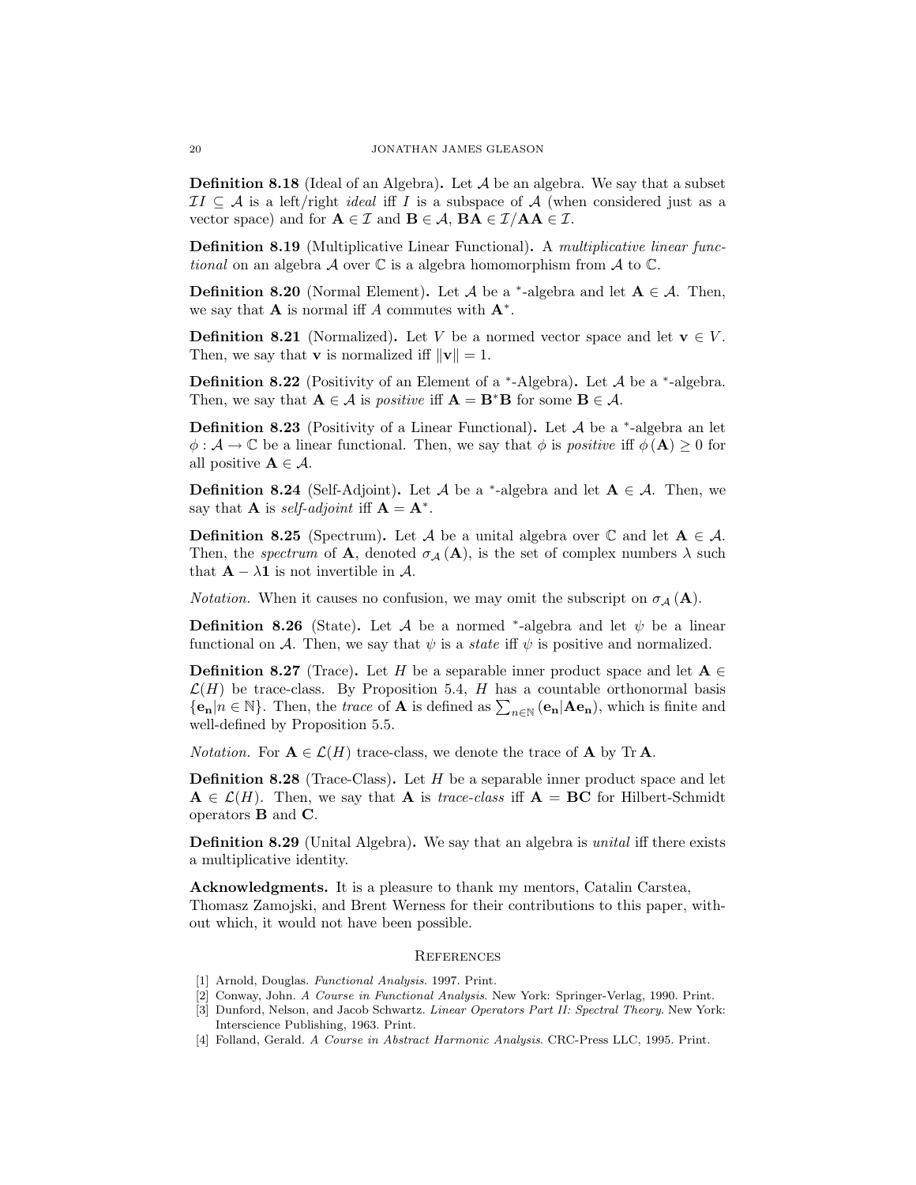**Definition 8.18** (Ideal of an Algebra). Let  $A$  be an algebra. We say that a subset  $II \subseteq A$  is a left/right *ideal* iff I is a subspace of A (when considered just as a vector space) and for  $A \in \mathcal{I}$  and  $B \in \mathcal{A}$ ,  $BA \in \mathcal{I}/AA \in \mathcal{I}$ .

Definition 8.19 (Multiplicative Linear Functional). A multiplicative linear functional on an algebra  $\mathcal A$  over  $\mathbb C$  is a algebra homomorphism from  $\mathcal A$  to  $\mathbb C$ .

**Definition 8.20** (Normal Element). Let A be a <sup>\*</sup>-algebra and let  $A \in \mathcal{A}$ . Then, we say that **A** is normal iff A commutes with  $A^*$ .

**Definition 8.21** (Normalized). Let V be a normed vector space and let  $\mathbf{v} \in V$ . Then, we say that **v** is normalized iff  $||\mathbf{v}|| = 1$ .

**Definition 8.22** (Positivity of an Element of a  $*$ -Algebra). Let A be a  $*$ -algebra. Then, we say that  $A \in \mathcal{A}$  is *positive* iff  $A = B^*B$  for some  $B \in \mathcal{A}$ .

**Definition 8.23** (Positivity of a Linear Functional). Let  $A$  be a  $*$ -algebra an let  $\phi : \mathcal{A} \to \mathbb{C}$  be a linear functional. Then, we say that  $\phi$  is *positive* iff  $\phi(\mathbf{A}) \geq 0$  for all positive  $\mathbf{A} \in \mathcal{A}$ .

**Definition 8.24** (Self-Adjoint). Let A be a <sup>\*</sup>-algebra and let  $A \in \mathcal{A}$ . Then, we say that **A** is *self-adjoint* iff  $\mathbf{A} = \mathbf{A}^*$ .

**Definition 8.25** (Spectrum). Let A be a unital algebra over  $\mathbb{C}$  and let  $\mathbf{A} \in \mathcal{A}$ . Then, the spectrum of **A**, denoted  $\sigma_A(A)$ , is the set of complex numbers  $\lambda$  such that  $\mathbf{A} - \lambda \mathbf{1}$  is not invertible in A.

*Notation.* When it causes no confusion, we may omit the subscript on  $\sigma_{\mathcal{A}}(\mathbf{A})$ .

**Definition 8.26** (State). Let A be a normed \*-algebra and let  $\psi$  be a linear functional on A. Then, we say that  $\psi$  is a *state* iff  $\psi$  is positive and normalized.

**Definition 8.27** (Trace). Let H be a separable inner product space and let  $A \in$  $\mathcal{L}(H)$  be trace-class. By Proposition 5.4, H has a countable orthonormal basis  ${e_n | n \in \mathbb{N}}$ . Then, the *trace* of **A** is defined as  $\sum_{n \in \mathbb{N}} (e_n | A e_n)$ , which is finite and well-defined by Proposition 5.5.

*Notation.* For  $A \in \mathcal{L}(H)$  trace-class, we denote the trace of A by Tr A.

**Definition 8.28** (Trace-Class). Let  $H$  be a separable inner product space and let  $A \in \mathcal{L}(H)$ . Then, we say that A is *trace-class* iff  $A = BC$  for Hilbert-Schmidt operators B and C.

Definition 8.29 (Unital Algebra). We say that an algebra is unital iff there exists a multiplicative identity.

Acknowledgments. It is a pleasure to thank my mentors, Catalin Carstea, Thomasz Zamojski, and Brent Werness for their contributions to this paper, without which, it would not have been possible.

# **REFERENCES**

- [1] Arnold, Douglas. Functional Analysis. 1997. Print.
- [2] Conway, John. A Course in Functional Analysis. New York: Springer-Verlag, 1990. Print.
- [3] Dunford, Nelson, and Jacob Schwartz. Linear Operators Part II: Spectral Theory. New York: Interscience Publishing, 1963. Print.
- [4] Folland, Gerald. A Course in Abstract Harmonic Analysis. CRC-Press LLC, 1995. Print.